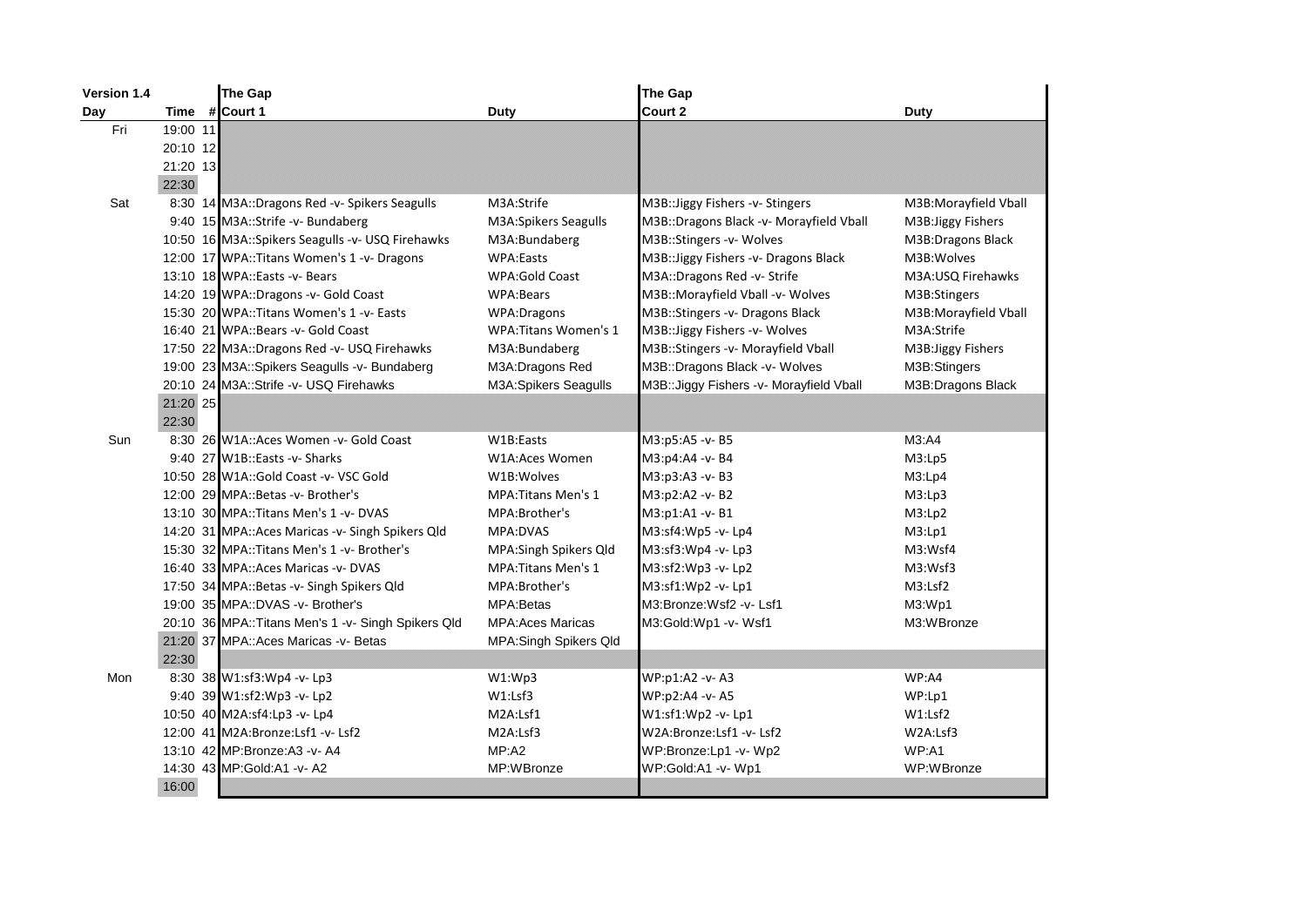| Version 1.4 |           | The Gap                                             |                              | The Gap                                   |                      |
|-------------|-----------|-----------------------------------------------------|------------------------------|-------------------------------------------|----------------------|
| Day         | #<br>Time | Court 1                                             | Duty                         | Court 2                                   | Duty                 |
| Fri         | 19:00 11  |                                                     |                              |                                           |                      |
|             | 20:10 12  |                                                     |                              |                                           |                      |
|             | 21:20 13  |                                                     |                              |                                           |                      |
|             | 22:30     |                                                     |                              |                                           |                      |
| Sat         |           | 8:30 14 M3A::Dragons Red -v- Spikers Seagulls       | M3A:Strife                   | M3B:: Jiggy Fishers - v- Stingers         | M3B:Morayfield Vball |
|             |           | 9:40 15 M3A::Strife -v- Bundaberg                   | M3A: Spikers Seagulls        | M3B::Dragons Black -v- Morayfield Vball   | M3B: Jiggy Fishers   |
|             |           | 10:50 16 M3A::Spikers Seagulls -v- USQ Firehawks    | M3A:Bundaberg                | M3B::Stingers -v- Wolves                  | M3B:Dragons Black    |
|             |           | 12:00 17 WPA:: Titans Women's 1 -v- Dragons         | <b>WPA:Easts</b>             | M3B::Jiggy Fishers -v- Dragons Black      | M3B: Wolves          |
|             |           | 13:10 18 WPA::Easts -v- Bears                       | <b>WPA:Gold Coast</b>        | M3A::Dragons Red -v- Strife               | M3A:USQ Firehawks    |
|             |           | 14:20 19 WPA::Dragons -v- Gold Coast                | <b>WPA:Bears</b>             | M3B::Morayfield Vball -v- Wolves          | M3B:Stingers         |
|             |           | 15:30 20 WPA::Titans Women's 1 - v- Easts           | WPA:Dragons                  | M3B::Stingers -v- Dragons Black           | M3B:Morayfield Vball |
|             |           | 16:40 21 WPA:: Bears - v- Gold Coast                | <b>WPA: Titans Women's 1</b> | M3B::Jiggy Fishers -v- Wolves             | M3A:Strife           |
|             |           | 17:50 22 M3A::Dragons Red -v- USQ Firehawks         | M3A:Bundaberg                | M3B::Stingers -v- Morayfield Vball        | M3B: Jiggy Fishers   |
|             |           | 19:00 23 M3A::Spikers Seagulls -v- Bundaberg        | M3A: Dragons Red             | M3B::Dragons Black -v- Wolves             | M3B:Stingers         |
|             |           | 20:10 24 M3A::Strife -v- USQ Firehawks              | <b>M3A:Spikers Seagulls</b>  | M3B:: Jiggy Fishers - v- Morayfield Vball | M3B:Dragons Black    |
|             | 21:20 25  |                                                     |                              |                                           |                      |
|             | 22:30     |                                                     |                              |                                           |                      |
| Sun         |           | 8:30 26 W1A::Aces Women - v- Gold Coast             | W1B:Easts                    | M3:p5:A5 -v- B5                           | M3:AA                |
|             |           | 9:40 27 W1B::Easts -v- Sharks                       | W1A:Aces Women               | M3:p4:A4 -v- B4                           | M3:Lp5               |
|             |           | 10:50 28 W1A::Gold Coast -v- VSC Gold               | W1B:Wolves                   | M3:p3:A3 -v- B3                           | M3:Lp4               |
|             |           | 12:00 29 MPA::Betas -v- Brother's                   | <b>MPA: Titans Men's 1</b>   | M3:p2:A2 -v- B2                           | M3:Lp3               |
|             |           | 13:10 30 MPA:: Titans Men's 1 -v- DVAS              | MPA:Brother's                | M3:p1:A1 -v- B1                           | M3:Lp2               |
|             |           | 14:20 31 MPA:: Aces Maricas - v- Singh Spikers Qld  | MPA:DVAS                     | M3:sf4:Wp5 -v- Lp4                        | M3:Lp1               |
|             |           | 15:30 32 MPA::Titans Men's 1 -v- Brother's          | MPA: Singh Spikers Qld       | M3:sf3:Wp4 -v- Lp3                        | M3:Wsf4              |
|             |           | 16:40 33 MPA: Aces Maricas -v- DVAS                 | <b>MPA: Titans Men's 1</b>   | M3:sf2:Wp3 -v- Lp2                        | M3:Wsf3              |
|             |           | 17:50 34 MPA::Betas -v- Singh Spikers Qld           | MPA:Brother's                | M3:sf1:Wp2 -v- Lp1                        | M3:Lsf2              |
|             |           | 19:00 35 MPA::DVAS -v- Brother's                    | <b>MPA:Betas</b>             | M3:Bronze:Wsf2 -v- Lsf1                   | M3:WD1               |
|             |           | 20:10 36 MPA:: Titans Men's 1 -v- Singh Spikers Qld | <b>MPA:Aces Maricas</b>      | M3:Gold:Wp1 -v- Wsf1                      | M3:WBronze           |
|             |           | 21:20 37 MPA:: Aces Maricas - v- Betas              | <b>MPA:Singh Spikers Qld</b> |                                           |                      |
|             | 22:30     |                                                     |                              |                                           |                      |
| Mon         |           | 8:30 38 W1:sf3:Wp4 -v- Lp3                          | W1:Wp3                       | WP:p1:A2 -v- A3                           | WP:A4                |
|             |           | 9:40 39 W1:sf2:Wp3 -v- Lp2                          | W1: Lsf3                     | WP:p2:A4 -v- A5                           | WP:Lp1               |
|             |           | 10:50 40 M2A:sf4:Lp3 -v- Lp4                        | M2A:Lsf1                     | W1:sf1:Wp2 -v- Lp1                        | W1: Lsf2             |
|             |           | 12:00 41 M2A:Bronze:Lsf1 -v- Lsf2                   | M2A:Lsf3                     | W2A:Bronze:Lsf1 -v- Lsf2                  | W2A:Lsf3             |
|             |           | 13:10 42 MP: Bronze: A3 -v- A4                      | MP: A2                       | WP:Bronze:Lp1 -v- Wp2                     | WP:A1                |
|             |           | 14:30 43 MP:Gold:A1 - v- A2                         | MP:WBronze                   | WP:Gold:A1 -v- Wp1                        | WP:WBronze           |
|             | 16:00     |                                                     |                              |                                           |                      |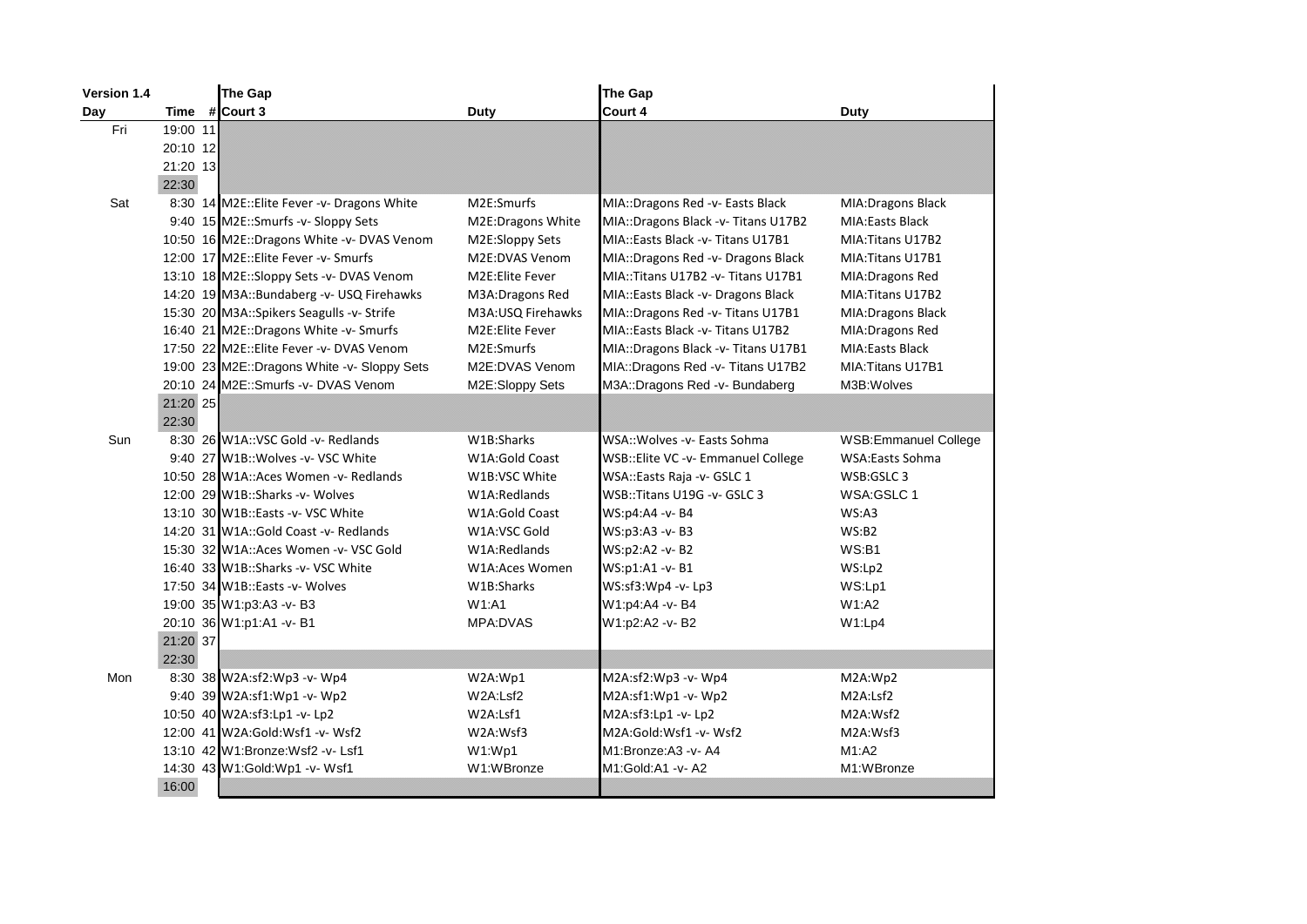| Version 1.4 |          | The Gap                                     |                   | The Gap                             |                             |
|-------------|----------|---------------------------------------------|-------------------|-------------------------------------|-----------------------------|
| Day         | Time     | # Court 3                                   | Duty              | Court 4                             | <b>Duty</b>                 |
| Fri         | 19:00 11 |                                             |                   |                                     |                             |
|             | 20:10 12 |                                             |                   |                                     |                             |
|             | 21:20 13 |                                             |                   |                                     |                             |
|             | 22:30    |                                             |                   |                                     |                             |
| Sat         |          | 8:30 14 M2E:: Elite Fever -v- Dragons White | M2E:Smurfs        | MIA::Dragons Red -v- Easts Black    | MIA: Dragons Black          |
|             |          | 9:40 15 M2E::Smurfs -v- Sloppy Sets         | M2E:Dragons White | MIA::Dragons Black -v- Titans U17B2 | <b>MIA:Easts Black</b>      |
|             |          | 10:50 16 M2E::Dragons White -v- DVAS Venom  | M2E:Sloppy Sets   | MIA::Easts Black -v- Titans U17B1   | MIA: Titans U17B2           |
|             |          | 12:00 17 M2E:: Elite Fever - v- Smurfs      | M2E:DVAS Venom    | MIA::Dragons Red -v- Dragons Black  | MIA: Titans U17B1           |
|             |          | 13:10 18 M2E::Sloppy Sets -v- DVAS Venom    | M2E:Elite Fever   | MIA::Titans U17B2 -v- Titans U17B1  | MIA: Dragons Red            |
|             |          | 14:20 19 M3A::Bundaberg -v- USQ Firehawks   | M3A: Dragons Red  | MIA::Easts Black -v- Dragons Black  | MIA: Titans U17B2           |
|             |          | 15:30 20 M3A::Spikers Seagulls -v- Strife   | M3A:USQ Firehawks | MIA::Dragons Red -v- Titans U17B1   | MIA: Dragons Black          |
|             |          | 16:40 21 M2E::Dragons White -v- Smurfs      | M2E:Elite Fever   | MIA::Easts Black -v- Titans U17B2   | MIA: Dragons Red            |
|             |          | 17:50 22 M2E:: Elite Fever -v- DVAS Venom   | M2E:Smurfs        | MIA::Dragons Black -v- Titans U17B1 | <b>MIA:Easts Black</b>      |
|             |          | 19:00 23 M2E::Dragons White -v- Sloppy Sets | M2E:DVAS Venom    | MIA::Dragons Red -v- Titans U17B2   | MIA: Titans U17B1           |
|             |          | 20:10 24 M2E::Smurfs -v- DVAS Venom         | M2E:Sloppy Sets   | M3A::Dragons Red -v- Bundaberg      | M3B: Wolves                 |
|             | 21:20 25 |                                             |                   |                                     |                             |
|             | 22:30    |                                             |                   |                                     |                             |
| Sun         |          | 8:30 26 W1A::VSC Gold -v- Redlands          | W1B:Sharks        | WSA::Wolves -v- Easts Sohma         | <b>WSB:Emmanuel College</b> |
|             |          | 9:40 27 W1B:: Wolves -v- VSC White          | W1A:Gold Coast    | WSB:: Elite VC -v- Emmanuel College | <b>WSA:Easts Sohma</b>      |
|             |          | 10:50 28 W1A::Aces Women -v- Redlands       | W1B:VSC White     | WSA::Easts Raja -v- GSLC 1          | WSB:GSLC 3                  |
|             |          | 12:00 29 W1B::Sharks -v- Wolves             | W1A:Redlands      | WSB::Titans U19G -v- GSLC 3         | WSA:GSLC 1                  |
|             |          | 13:10 30 W1B::Easts -v- VSC White           | W1A:Gold Coast    | WS:p4:A4 -v- B4                     | WS: A3                      |
|             |          | 14:20 31 W1A::Gold Coast -v- Redlands       | W1A:VSC Gold      | WS:p3:A3 -v- B3                     | WS:B2                       |
|             |          | 15:30 32 W1A::Aces Women -v- VSC Gold       | W1A:Redlands      | WS:p2:A2 -v- B2                     | WS:B1                       |
|             |          | 16:40 33 W1B::Sharks -v- VSC White          | W1A:Aces Women    | WS:p1:A1 -v- B1                     | WS:Lp2                      |
|             |          | 17:50 34 W1B::Easts -v- Wolves              | W1B:Sharks        | WS:sf3:Wp4 -v- Lp3                  | WS:Lp1                      |
|             |          | 19:00 35 W1:p3:A3 -v- B3                    | W1:AA             | W1:p4:A4 -v- B4                     | W1:A2                       |
|             |          | 20:10 36 W1:p1:A1 -v- B1                    | MPA:DVAS          | W1:p2:A2 -v-B2                      | W1:Lp4                      |
|             | 21:20 37 |                                             |                   |                                     |                             |
|             | 22:30    |                                             |                   |                                     |                             |
| Mon         |          | 8:30 38 W2A:sf2:Wp3 -v- Wp4                 | W2A:Wp1           | M2A:sf2:Wp3 -v- Wp4                 | M2A:Wp2                     |
|             |          | 9:40 39 W2A:sf1:Wp1 -v- Wp2                 | W2A:Lsf2          | M2A:sf1:Wp1 -v- Wp2                 | M2A:Lsf2                    |
|             |          | 10:50 40 W2A:sf3:Lp1 -v- Lp2                | W2A:Lsf1          | M2A:sf3:Lp1 -v- Lp2                 | M2A:Wsf2                    |
|             |          | 12:00 41 W2A:Gold:Wsf1 -v- Wsf2             | W2A:Wsf3          | M2A:Gold:Wsf1 -v- Wsf2              | M2A:Wsf3                    |
|             |          | 13:10 42 W1:Bronze:Wsf2 -v- Lsf1            | W1:WD1            | M1:Bronze:A3 -v-A4                  | M1:A2                       |
|             |          | 14:30 43 W1:Gold:Wp1 -v- Wsf1               | W1:WBronze        | M1:Gold:A1 -v- A2                   | M1:WBronze                  |
|             | 16:00    |                                             |                   |                                     |                             |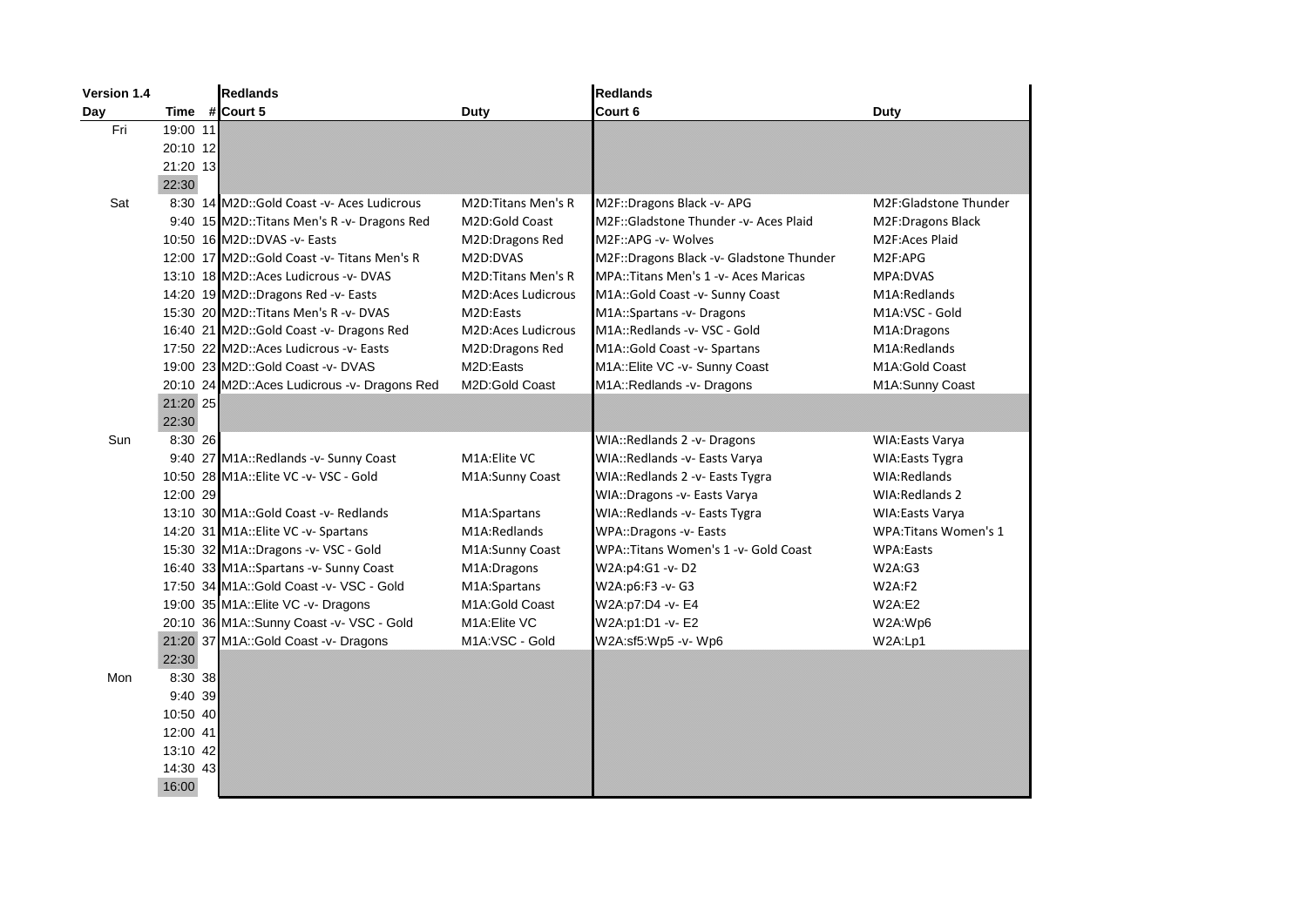| Version 1.4 |           | <b>Redlands</b>                              |                           | <b>Redlands</b>                          |                              |
|-------------|-----------|----------------------------------------------|---------------------------|------------------------------------------|------------------------------|
| Day         |           | Time # Court 5                               | <b>Duty</b>               | Court 6                                  | <b>Duty</b>                  |
| Fri         | 19:00 11  |                                              |                           |                                          |                              |
|             | 20:10 12  |                                              |                           |                                          |                              |
|             | 21:20 13  |                                              |                           |                                          |                              |
|             | 22:30     |                                              |                           |                                          |                              |
| Sat         |           | 8:30 14 M2D::Gold Coast -v- Aces Ludicrous   | M2D: Titans Men's R       | M2F::Dragons Black -v- APG               | <b>M2F:Gladstone Thunder</b> |
|             |           | 9:40 15 M2D::Titans Men's R -v- Dragons Red  | M2D:Gold Coast            | M2F::Gladstone Thunder -v- Aces Plaid    | M2F:Dragons Black            |
|             |           | 10:50 16 M2D::DVAS -v- Easts                 | M2D:Dragons Red           | M2F::APG -v- Wolves                      | M2F:Aces Plaid               |
|             |           | 12:00 17 M2D::Gold Coast - v- Titans Men's R | M2D:DVAS                  | M2F::Dragons Black -v- Gladstone Thunder | M2F:APG                      |
|             |           | 13:10 18 M2D::Aces Ludicrous -v- DVAS        | <b>M2D:Titans Men's R</b> | MPA::Titans Men's 1 - v - Aces Maricas   | MPA:DVAS                     |
|             |           | 14:20 19 M2D::Dragons Red -v- Easts          | M2D:Aces Ludicrous        | M1A::Gold Coast -v- Sunny Coast          | M1A:Redlands                 |
|             |           | 15:30 20 M2D::Titans Men's R -v- DVAS        | M2D:Easts                 | M1A::Spartans -v- Dragons                | M1A:VSC - Gold               |
|             |           | 16:40 21 M2D::Gold Coast -v- Dragons Red     | M2D:Aces Ludicrous        | M1A::Redlands -v- VSC - Gold             | M1A:Dragons                  |
|             |           | 17:50 22 M2D::Aces Ludicrous -v- Easts       | M2D:Dragons Red           | M1A::Gold Coast -v- Spartans             | M1A:Redlands                 |
|             |           | 19:00 23 M2D::Gold Coast -v- DVAS            | M2D:Easts                 | M1A::Elite VC -v- Sunny Coast            | M1A:Gold Coast               |
|             |           | 20:10 24 M2D::Aces Ludicrous -v- Dragons Red | M2D:Gold Coast            | M1A::Redlands -v- Dragons                | M1A:Sunny Coast              |
|             | 21:20 25  |                                              |                           |                                          |                              |
|             | 22:30     |                                              |                           |                                          |                              |
| Sun         | 8:30 26   |                                              |                           | WIA::Redlands 2 -v- Dragons              | <b>WIA:Easts Varya</b>       |
|             |           | 9:40 27 M1A::Redlands -v- Sunny Coast        | M1A: Elite VC             | WIA::Redlands -v- Easts Varya            | <b>WIA:Easts Tygra</b>       |
|             |           | 10:50 28 M1A::Elite VC -v- VSC - Gold        | M1A:Sunny Coast           | WIA::Redlands 2 -v- Easts Tygra          | WIA:Redlands                 |
|             | 12:00 29  |                                              |                           | WIA::Dragons -v- Easts Varya             | WIA: Redlands 2              |
|             |           | 13:10 30 M1A::Gold Coast -v- Redlands        | M1A:Spartans              | WIA::Redlands -v- Easts Tygra            | <b>WIA:Easts Varya</b>       |
|             |           | 14:20 31 M1A::Elite VC -v- Spartans          | M1A:Redlands              | WPA::Dragons -v- Easts                   | <b>WPA: Titans Women's 1</b> |
|             |           | 15:30 32 M1A::Dragons -v- VSC - Gold         | M1A:Sunny Coast           | WPA::Titans Women's 1 -v- Gold Coast     | <b>WPA:Easts</b>             |
|             |           | 16:40 33 M1A::Spartans -v- Sunny Coast       | M1A:Dragons               | W2A:p4:G1 -v-D2                          | W2A:G3                       |
|             |           | 17:50 34 M1A::Gold Coast -v- VSC - Gold      | M1A:Spartans              | W2A:p6:F3 -v- G3                         | W2A:F2                       |
|             |           | 19:00 35 M1A:: Elite VC - v- Dragons         | M1A:Gold Coast            | W2A:p7:D4 -v- E4                         | W2A: E2                      |
|             |           | 20:10 36 M1A::Sunny Coast -v- VSC - Gold     | M1A: Elite VC             | W2A:p1:D1 -v-E2                          | W2A:Wp6                      |
|             |           | 21:20 37 M1A::Gold Coast -v- Dragons         | M1A:VSC - Gold            | W2A:sf5:Wp5 -v- Wp6                      | W2A:Lp1                      |
|             | 22:30     |                                              |                           |                                          |                              |
| Mon         | 8:30 38   |                                              |                           |                                          |                              |
|             | $9:40$ 39 |                                              |                           |                                          |                              |
|             | 10:50 40  |                                              |                           |                                          |                              |
|             | 12:00 41  |                                              |                           |                                          |                              |
|             | 13:10 42  |                                              |                           |                                          |                              |
|             | 14:30 43  |                                              |                           |                                          |                              |
|             | 16:00     |                                              |                           |                                          |                              |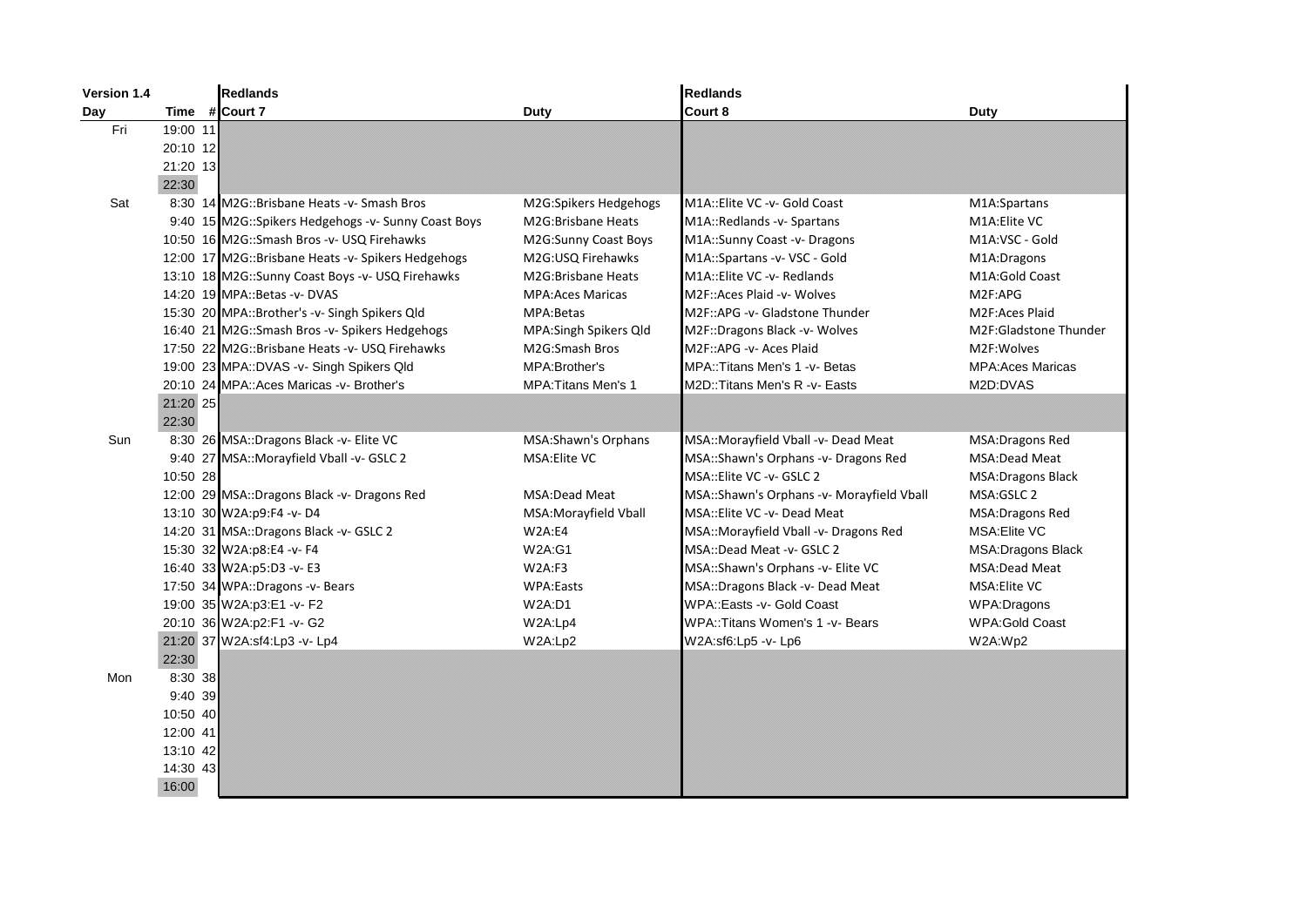| Version 1.4 |           | <b>Redlands</b>                                     |                            | <b>Redlands</b>                           |                          |
|-------------|-----------|-----------------------------------------------------|----------------------------|-------------------------------------------|--------------------------|
| Day         | Time      | # Court 7                                           | Duty                       | Court 8                                   | Duty                     |
| Fri         | 19:00 11  |                                                     |                            |                                           |                          |
|             | 20:10 12  |                                                     |                            |                                           |                          |
|             | 21:20 13  |                                                     |                            |                                           |                          |
|             | 22:30     |                                                     |                            |                                           |                          |
| Sat         |           | 8:30 14 M2G::Brisbane Heats -v- Smash Bros          | M2G:Spikers Hedgehogs      | M1A::Elite VC -v- Gold Coast              | M1A:Spartans             |
|             |           | 9:40 15 M2G::Spikers Hedgehogs -v- Sunny Coast Boys | M2G:Brisbane Heats         | M1A::Redlands -v- Spartans                | M1A: Elite VC            |
|             |           | 10:50 16 M2G::Smash Bros -v- USQ Firehawks          | M2G:Sunny Coast Boys       | M1A::Sunny Coast -v- Dragons              | M1A:VSC - Gold           |
|             |           | 12:00 17 M2G::Brisbane Heats -v- Spikers Hedgehogs  | M2G:USQ Firehawks          | M1A::Spartans -v- VSC - Gold              | M1A:Dragons              |
|             |           | 13:10 18 M2G::Sunny Coast Boys -v- USQ Firehawks    | M2G:Brisbane Heats         | M1A::Elite VC -v- Redlands                | M1A:Gold Coast           |
|             |           | 14:20 19 MPA:: Betas - v- DVAS                      | <b>MPA:Aces Maricas</b>    | M2F:: Aces Plaid - v- Wolves              | M2F:APG                  |
|             |           | 15:30 20 MPA::Brother's -v- Singh Spikers Qld       | MPA:Betas                  | M2F::APG -v- Gladstone Thunder            | M2F:Aces Plaid           |
|             |           | 16:40 21 M2G::Smash Bros -v- Spikers Hedgehogs      | MPA:Singh Spikers Qld      | M2F::Dragons Black -v- Wolves             | M2F:Gladstone Thunder    |
|             |           | 17:50 22 M2G::Brisbane Heats -v- USQ Firehawks      | M2G:Smash Bros             | M2F::APG -v- Aces Plaid                   | M2F:Wolves               |
|             |           | 19:00 23 MPA::DVAS -v- Singh Spikers Qld            | MPA: Brother's             | MPA:: Titans Men's 1 - v - Betas          | <b>MPA:Aces Maricas</b>  |
|             |           | 20:10 24 MPA:: Aces Maricas - v- Brother's          | <b>MPA: Titans Men's 1</b> | M2D::Titans Men's R -v- Easts             | M2D:DVAS                 |
|             | 21:20 25  |                                                     |                            |                                           |                          |
|             | 22:30     |                                                     |                            |                                           |                          |
| Sun         |           | 8:30 26 MSA::Dragons Black -v- Elite VC             | MSA:Shawn's Orphans        | MSA::Morayfield Vball -v- Dead Meat       | MSA: Dragons Red         |
|             |           | 9:40 27 MSA::Morayfield Vball -v- GSLC 2            | MSA: Elite VC              | MSA::Shawn's Orphans -v- Dragons Red      | MSA:Dead Meat            |
|             | 10:50 28  |                                                     |                            | MSA::Elite VC -v- GSLC 2                  | <b>MSA:Dragons Black</b> |
|             |           | 12:00 29 MSA::Dragons Black -v- Dragons Red         | MSA:Dead Meat              | MSA::Shawn's Orphans -v- Morayfield Vball | MSA:GSLC 2               |
|             |           | 13:10 30 W2A:p9:F4 -v-D4                            | MSA: Morayfield Vball      | MSA::Elite VC -v- Dead Meat               | <b>MSA:Dragons Red</b>   |
|             |           | 14:20 31 MSA::Dragons Black -v- GSLC 2              | W2A:E4                     | MSA::Morayfield Vball -v- Dragons Red     | MSA: Elite VC            |
|             |           | 15:30 32 W2A:p8:E4 -v- F4                           | <b>W2A:G1</b>              | MSA::Dead Meat -v- GSLC 2                 | <b>MSA:Dragons Black</b> |
|             |           | 16:40 33 W2A:p5:D3 -v- E3                           | W2A: F3                    | MSA::Shawn's Orphans -v- Elite VC         | MSA:Dead Meat            |
|             |           | 17:50 34 WPA::Dragons -v- Bears                     | <b>WPA:Easts</b>           | MSA::Dragons Black -v- Dead Meat          | MSA: Elite VC            |
|             |           | 19:00 35 W2A:p3:E1 -v- F2                           | <b>W2A:D1</b>              | WPA::Easts -v- Gold Coast                 | WPA:Dragons              |
|             |           | 20:10 36 W2A:p2:F1 -v- G2                           | W2A:Lp4                    | WPA::Titans Women's 1 -v- Bears           | <b>WPA:Gold Coast</b>    |
|             |           | 21:20 37 W2A:sf4:Lp3 -v- Lp4                        | W2A:Lp2                    | W2A:sf6:Lp5 -v- Lp6                       | W2A:Wp2                  |
|             | 22:30     |                                                     |                            |                                           |                          |
| Mon         | $8:30$ 38 |                                                     |                            |                                           |                          |
|             | 9:40 39   |                                                     |                            |                                           |                          |
|             | 10:50 40  |                                                     |                            |                                           |                          |
|             | 12:00 41  |                                                     |                            |                                           |                          |
|             | 13:10 42  |                                                     |                            |                                           |                          |
|             | 14:30 43  |                                                     |                            |                                           |                          |
|             | 16:00     |                                                     |                            |                                           |                          |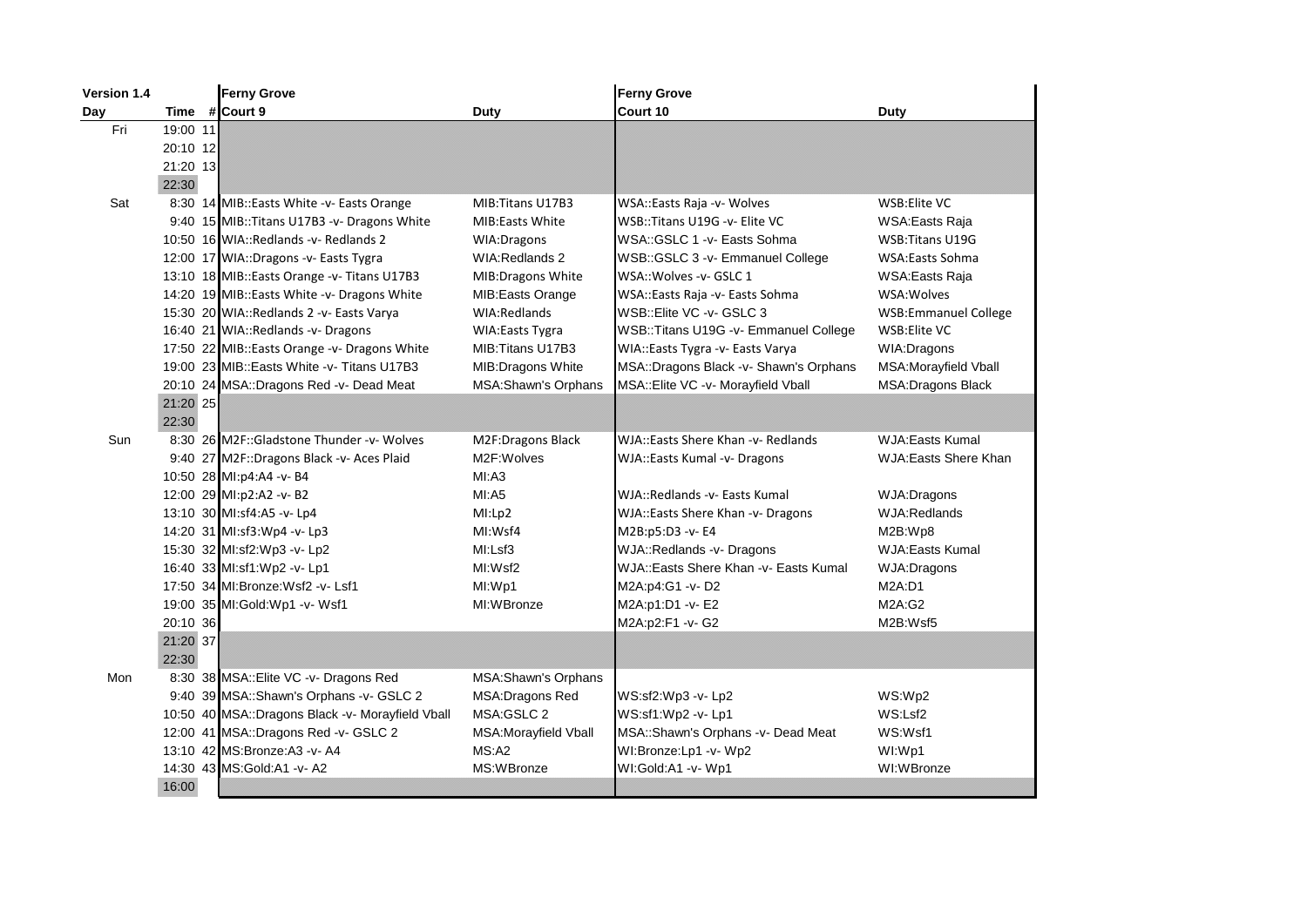| <b>Version 1.4</b> |          | <b>Ferny Grove</b>                               |                        | <b>Ferny Grove</b>                      |                             |
|--------------------|----------|--------------------------------------------------|------------------------|-----------------------------------------|-----------------------------|
| Day                | Time     | # Court 9                                        | Duty                   | Court 10                                | Duty                        |
| Fri                | 19:00 11 |                                                  |                        |                                         |                             |
|                    | 20:10 12 |                                                  |                        |                                         |                             |
|                    | 21:20 13 |                                                  |                        |                                         |                             |
|                    | 22:30    |                                                  |                        |                                         |                             |
| Sat                |          | 8:30 14 MIB::Easts White -v- Easts Orange        | MIB: Titans U17B3      | WSA::Easts Raja -v- Wolves              | WSB: Elite VC               |
|                    |          | 9:40 15 MIB:: Titans U17B3 -v- Dragons White     | <b>MIB:Easts White</b> | WSB::Titans U19G -v- Elite VC           | WSA: Easts Raja             |
|                    |          | 10:50 16 WIA::Redlands -v- Redlands 2            | <b>WIA:Dragons</b>     | WSA::GSLC 1 - v - Easts Sohma           | WSB: Titans U19G            |
|                    |          | 12:00 17 WIA::Dragons -v- Easts Tygra            | <b>WIA:Redlands 2</b>  | WSB:: GSLC 3 -v- Emmanuel College       | <b>WSA:Easts Sohma</b>      |
|                    |          | 13:10 18 MIB::Easts Orange -v- Titans U17B3      | MIB: Dragons White     | WSA:: Wolves - v- GSLC 1                | WSA: Easts Raja             |
|                    |          | 14:20 19 MIB::Easts White -v- Dragons White      | MIB: Easts Orange      | WSA::Easts Raja -v- Easts Sohma         | WSA: Wolves                 |
|                    |          | 15:30 20 WIA::Redlands 2 -v- Easts Varya         | WIA:Redlands           | WSB::Elite VC -v- GSLC 3                | <b>WSB:Emmanuel College</b> |
|                    |          | 16:40 21 WIA::Redlands -v- Dragons               | <b>WIA:Easts Tygra</b> | WSB:: Titans U19G - v- Emmanuel College | WSB: Elite VC               |
|                    |          | 17:50 22 MIB::Easts Orange -v- Dragons White     | MIB: Titans U17B3      | WIA::Easts Tygra -v- Easts Varya        | WIA: Dragons                |
|                    |          | 19:00 23 MIB::Easts White - v- Titans U17B3      | MIB: Dragons White     | MSA::Dragons Black -v- Shawn's Orphans  | MSA: Morayfield Vball       |
|                    |          | 20:10 24 MSA::Dragons Red -v- Dead Meat          | MSA:Shawn's Orphans    | MSA::Elite VC -v- Morayfield Vball      | <b>MSA:Dragons Black</b>    |
|                    | 21:20 25 |                                                  |                        |                                         |                             |
|                    | 22:30    |                                                  |                        |                                         |                             |
| Sun                |          | 8:30 26 M2F::Gladstone Thunder -v- Wolves        | M2F:Dragons Black      | WJA::Easts Shere Khan -v- Redlands      | <b>WJA:Easts Kumal</b>      |
|                    |          | 9:40 27 M2F::Dragons Black -v- Aces Plaid        | M2F:Wolves             | WJA::Easts Kumal -v- Dragons            | <b>WJA:Easts Shere Khan</b> |
|                    |          | 10:50 28 MI:p4:A4 -v- B4                         | MI: A3                 |                                         |                             |
|                    |          | 12:00 29 MI:p2:A2 -v- B2                         | MI:A5                  | WJA::Redlands -v- Easts Kumal           | WJA:Dragons                 |
|                    |          | 13:10 30 MI:sf4:A5 -v- Lp4                       | MI:Lp2                 | WJA::Easts Shere Khan -v- Dragons       | WJA:Redlands                |
|                    |          | 14:20 31 MI:sf3:Wp4 -v- Lp3                      | MI:Wsf4                | M2B:p5:D3 -v- E4                        | M2B:Wp8                     |
|                    |          | 15:30 32 MI:sf2:Wp3 -v- Lp2                      | MI:Lsf3                | WJA::Redlands -v- Dragons               | <b>WJA:Easts Kumal</b>      |
|                    |          | 16:40 33 MI:sf1:Wp2 -v- Lp1                      | MI:Wsf2                | WJA::Easts Shere Khan - v- Easts Kumal  | <b>WJA:Dragons</b>          |
|                    |          | 17:50 34 MI:Bronze: Wsf2 -v- Lsf1                | MI:Wp1                 | M2A:p4:G1 -v-D2                         | M2A:DT                      |
|                    |          | 19:00 35 MI:Gold:Wp1 -v- Wsf1                    | MI:WBronze             | M2A:p1:D1 -v- E2                        | M2A:G2                      |
|                    | 20:10 36 |                                                  |                        | M2A:p2:F1 -v- G2                        | M2B:Wsf5                    |
|                    | 21:20 37 |                                                  |                        |                                         |                             |
|                    | 22:30    |                                                  |                        |                                         |                             |
| Mon                |          | 8:30 38 MSA::Elite VC -v- Dragons Red            | MSA: Shawn's Orphans   |                                         |                             |
|                    |          | 9:40 39 MSA::Shawn's Orphans -v- GSLC 2          | MSA: Dragons Red       | WS:sf2:Wp3 -v- Lp2                      | WS:Wp2                      |
|                    |          | 10:50 40 MSA::Dragons Black -v- Morayfield Vball | MSA:GSLC 2             | WS:sf1:Wp2 -v- Lp1                      | WS:Lsf2                     |
|                    |          | 12:00 41 MSA::Dragons Red -v- GSLC 2             | MSA: Morayfield Vball  | MSA::Shawn's Orphans -v- Dead Meat      | WS:Wsf1                     |
|                    |          | 13:10 42 MS: Bronze: A3 - v - A4                 | MS: A2                 | WI:Bronze:Lp1 -v- Wp2                   | WI:Wp1                      |
|                    |          | 14:30 43 MS:Gold:A1 - v-A2                       | MS:WBronze             | WI:Gold:A1 -v- Wp1                      | WI:WBronze                  |
|                    | 16:00    |                                                  |                        |                                         |                             |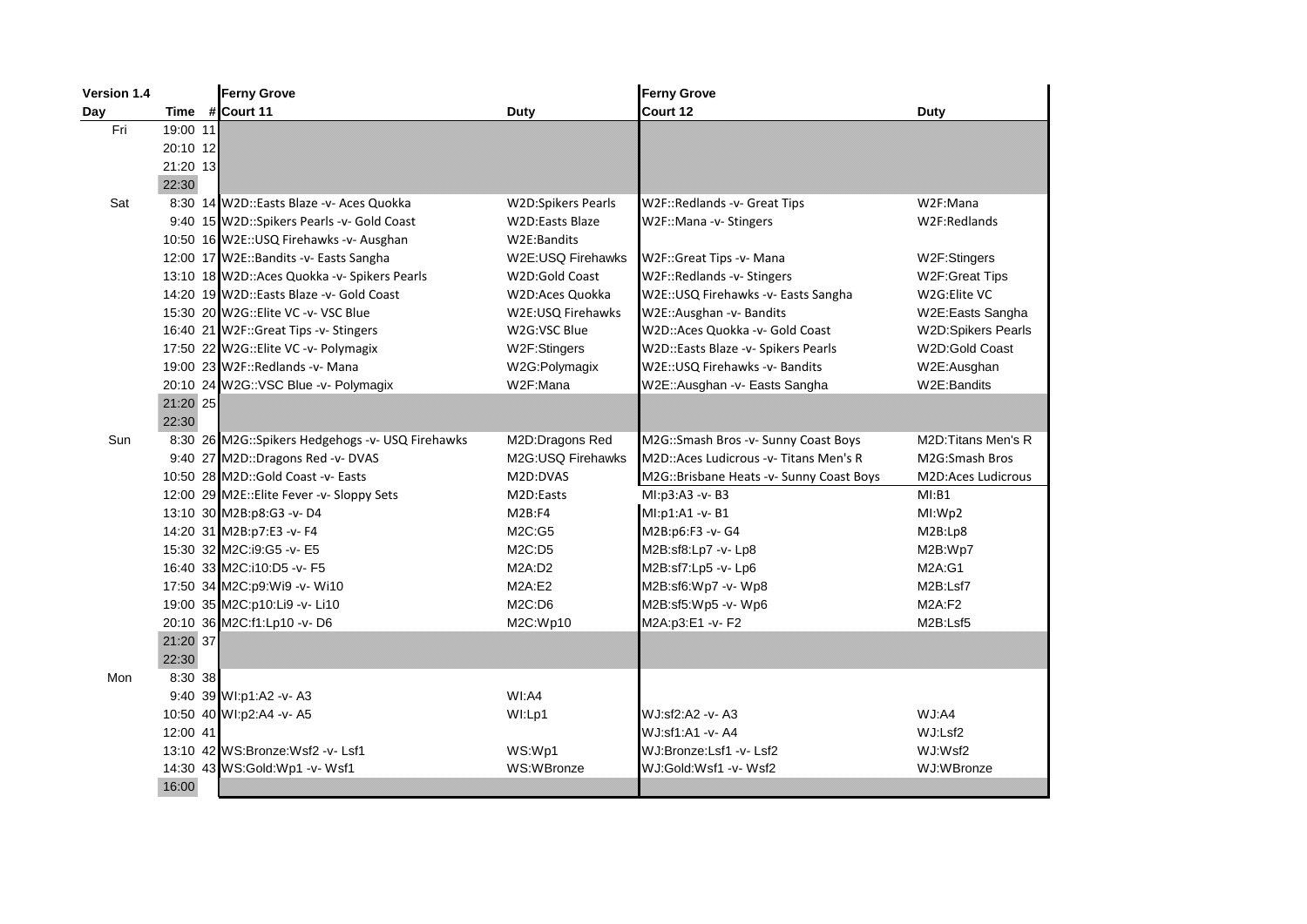| Version 1.4 |          | <b>Ferny Grove</b>                               |                           | <b>Ferny Grove</b>                       |                           |
|-------------|----------|--------------------------------------------------|---------------------------|------------------------------------------|---------------------------|
| Day         |          | Time #Court 11                                   | <b>Duty</b>               | Court 12                                 | Duty                      |
| Fri         | 19:00 11 |                                                  |                           |                                          |                           |
|             | 20:10 12 |                                                  |                           |                                          |                           |
|             | 21:20 13 |                                                  |                           |                                          |                           |
|             | 22:30    |                                                  |                           |                                          |                           |
| Sat         |          | 8:30 14 W2D::Easts Blaze -v- Aces Quokka         | <b>W2D:Spikers Pearls</b> | W2F::Redlands -v- Great Tips             | W2F:Mana                  |
|             |          | 9:40 15 W2D::Spikers Pearls -v- Gold Coast       | <b>W2D:Easts Blaze</b>    | W2F::Mana -v- Stingers                   | W2F:Redlands              |
|             |          | 10:50 16 W2E:: USQ Firehawks - v- Ausghan        | W2E:Bandits               |                                          |                           |
|             |          | 12:00 17 W2E::Bandits -v- Easts Sangha           | W2E:USQ Firehawks         | W2F::Great Tips -v- Mana                 | W2F:Stingers              |
|             |          | 13:10 18 W2D::Aces Quokka -v- Spikers Pearls     | W2D:Gold Coast            | W2F::Redlands -v- Stingers               | W2F: Great Tips           |
|             |          | 14:20 19 W2D::Easts Blaze -v- Gold Coast         | W2D:Aces Quokka           | W2E:: USQ Firehawks - v- Easts Sangha    | W2G:Elite VC              |
|             |          | 15:30 20 W2G::Elite VC -v- VSC Blue              | W2E:USQ Firehawks         | W2E::Ausghan -v- Bandits                 | W2E:Easts Sangha          |
|             |          | 16:40 21 W2F::Great Tips -v- Stingers            | W2G:VSC Blue              | W2D::Aces Quokka -v- Gold Coast          | <b>W2D:Spikers Pearls</b> |
|             |          | 17:50 22 W2G:: Elite VC -v- Polymagix            | W2F:Stingers              | W2D::Easts Blaze -v- Spikers Pearls      | W2D:Gold Coast            |
|             |          | 19:00 23 W2F::Redlands -v- Mana                  | W2G:Polymagix             | W2E:: USQ Firehawks - v- Bandits         | W2E:Ausghan               |
|             |          | 20:10 24 W2G::VSC Blue -v- Polymagix             | W2F:Mana                  | W2E::Ausghan -v- Easts Sangha            | W2E:Bandits               |
|             | 21:20 25 |                                                  |                           |                                          |                           |
|             | 22:30    |                                                  |                           |                                          |                           |
| Sun         |          | 8:30 26 M2G::Spikers Hedgehogs -v- USQ Firehawks | M2D:Dragons Red           | M2G::Smash Bros -v- Sunny Coast Boys     | M2D: Titans Men's R       |
|             |          | 9:40 27 M2D::Dragons Red -v- DVAS                | M2G:USQ Firehawks         | M2D::Aces Ludicrous -v- Titans Men's R   | M2G:Smash Bros            |
|             |          | 10:50 28 M2D::Gold Coast -v- Easts               | M2D:DVAS                  | M2G::Brisbane Heats -v- Sunny Coast Boys | M2D:Aces Ludicrous        |
|             |          | 12:00 29 M2E:: Elite Fever -v- Sloppy Sets       | M2D:Easts                 | MI:p3:A3 -v- B3                          | MI:B1                     |
|             |          | 13:10 30 M2B:p8:G3 -v- D4                        | M2B:FA                    | MI:p1:A1 -v- B1                          | MI:Wp2                    |
|             |          | 14:20 31 M2B:p7:E3 -v- F4                        | M2C:G5                    | M2B:p6:F3 -v- G4                         | M2B:Lp8                   |
|             |          | 15:30 32 M2C:i9:G5 -v- E5                        | M2C:D5                    | M2B:sf8:Lp7 -v- Lp8                      | M2B:Wp7                   |
|             |          | 16:40 33 M2C:i10:D5 -v- F5                       | M2A:D2                    | M2B:sf7:Lp5 -v- Lp6                      | M2A:G1                    |
|             |          | 17:50 34 M2C:p9:Wi9 -v- Wi10                     | M2A:E2                    | M2B:sf6:Wp7 -v- Wp8                      | M2B:Lsf7                  |
|             |          | 19:00 35 M2C:p10:Li9 -v- Li10                    | M2C:DB                    | M2B:sf5:Wp5 -v- Wp6                      | M2A: F2                   |
|             |          | 20:10 36 M2C:f1:Lp10 -v-D6                       | M2C:Wp10                  | M2A:p3:E1 -v- F2                         | M2B:Lsf5                  |
|             | 21:20 37 |                                                  |                           |                                          |                           |
|             | 22:30    |                                                  |                           |                                          |                           |
| Mon         | 8:30 38  |                                                  |                           |                                          |                           |
|             |          | 9:40 39 WI:p1:A2 -v- A3                          | WI:AA                     |                                          |                           |
|             |          | 10:50 40 WI:p2:A4 -v- A5                         | WI:Lp1                    | WJ:sf2:A2 -v- A3                         | WJ:AA                     |
|             | 12:00 41 |                                                  |                           | WJ:sf1:A1 -v- A4                         | WJ:Lsf2                   |
|             |          | 13:10 42 WS:Bronze:Wsf2 -v- Lsf1                 | WS:Wp1                    | WJ:Bronze:Lsf1 -v-Lsf2                   | WJ:Wsf2                   |
|             |          | 14:30 43 WS:Gold:Wp1 -v- Wsf1                    | WS:WBronze                | WJ:Gold:Wsf1 -v- Wsf2                    | WJ:WBronze                |
|             | 16:00    |                                                  |                           |                                          |                           |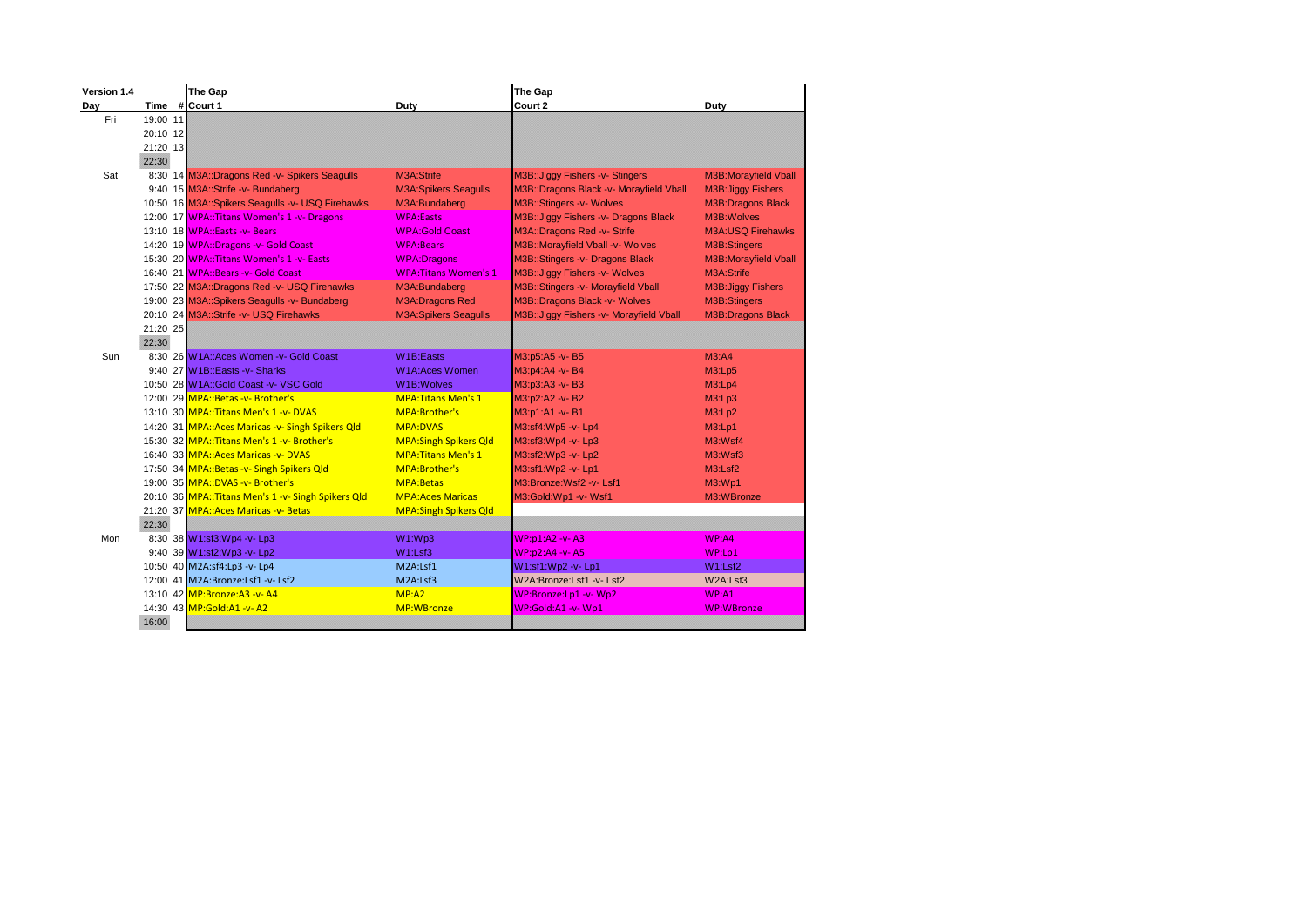| Version 1.4 |               | The Gap                                            |                              | The Gap                                  |                             |
|-------------|---------------|----------------------------------------------------|------------------------------|------------------------------------------|-----------------------------|
| Day         | Time #Court 1 |                                                    | Duty                         | Court 2                                  | Duty                        |
| Fri         | 19:00 11      |                                                    |                              |                                          |                             |
|             | 20:10 12      |                                                    |                              |                                          |                             |
|             | 21:20 13      |                                                    |                              |                                          |                             |
|             | 22:30         |                                                    |                              |                                          |                             |
| Sat         |               | 8:30 14 M3A::Dragons Red -v- Spikers Seagulls      | M3A:Strife                   | M3B:: Jiggy Fishers -v- Stingers         | <b>M3B:Morayfield Vball</b> |
|             |               | 9:40 15 M3A::Strife -v- Bundaberg                  | <b>M3A:Spikers Seagulls</b>  | M3B::Dragons Black -v- Morayfield Vball  | <b>M3B:Jiggy Fishers</b>    |
|             |               | 10:50 16 M3A::Spikers Seagulls -v- USQ Firehawks   | M3A:Bundaberg                | M3B::Stingers -v- Wolves                 | <b>M3B:Dragons Black</b>    |
|             |               | 12:00 17 WPA::Titans Women's 1 -v- Dragons         | <b>WPA:Easts</b>             | M3B:: Jiggy Fishers -v- Dragons Black    | M3B: Wolves                 |
|             |               | 13:10 18 WPA::Easts -v- Bears                      | <b>WPA:Gold Coast</b>        | M3A::Dragons Red -v- Strife              | <b>M3A:USQ Firehawks</b>    |
|             |               | 14:20 19 WPA::Dragons -v- Gold Coast               | <b>WPA:Bears</b>             | M3B::Morayfield Vball -v- Wolves         | M3B:Stingers                |
|             |               | 15:30 20 WPA::Titans Women's 1 -v- Easts           | <b>WPA:Dragons</b>           | M3B::Stingers -v- Dragons Black          | <b>M3B:Morayfield Vball</b> |
|             |               | 16:40 21 WPA::Bears -v- Gold Coast                 | <b>WPA: Titans Women's 1</b> | M3B:: Jiggy Fishers - v- Wolves          | M3A:Strife                  |
|             |               | 17:50 22 M3A::Dragons Red -v- USQ Firehawks        | M3A:Bundaberg                | M3B::Stingers -v- Morayfield Vball       | <b>M3B:Jiggy Fishers</b>    |
|             |               | 19:00 23 M3A::Spikers Seagulls -v- Bundaberg       | <b>M3A:Dragons Red</b>       | M3B::Dragons Black -v- Wolves            | M3B:Stingers                |
|             |               | 20:10 24 M3A::Strife -v- USQ Firehawks             | <b>M3A:Spikers Seagulls</b>  | M3B:: Jiggy Fishers -v- Morayfield Vball | <b>M3B:Dragons Black</b>    |
|             | 21:20 25      |                                                    |                              |                                          |                             |
|             | 22:30         |                                                    |                              |                                          |                             |
| Sun         |               | 8:30 26 W1A::Aces Women - v- Gold Coast            | <b>W1B:Easts</b>             | M3:p5:A5 -v- B5                          | M3:AA                       |
|             |               | 9:40 27 W1B::Easts -v- Sharks                      | <b>W1A:Aces Women</b>        | M3:p4:A4 -v- B4                          | M3:Lp5                      |
|             |               | 10:50 28 W1A::Gold Coast -v- VSC Gold              | <b>W1B:Wolves</b>            | M3:p3:A3 -v-B3                           | M3:Lp4                      |
|             |               | 12:00 29 MPA:: Betas -v- Brother's                 | <b>MPA: Titans Men's 1</b>   | M3:p2:A2 -v-B2                           | M3:Lp3                      |
|             |               | 13:10 30 MPA::Titans Men's 1 -v- DVAS              | MPA:Brother's                | M3:p1:A1 -v- B1                          | M3:Lp2                      |
|             |               | 14:20 31 MPA:: Aces Maricas -v- Singh Spikers Qld  | <b>MPA:DVAS</b>              | M3:sf4:Wp5 -v- Lp4                       | M3:Lp1                      |
|             |               | 15:30 32 MPA::Titans Men's 1 -v- Brother's         | <b>MPA:Singh Spikers Qld</b> | M3:sf3:Wp4 -v- Lp3                       | M3:Wsf4                     |
|             |               | 16:40 33 MPA:: Aces Maricas - v- DVAS              | <b>MPA: Titans Men's 1</b>   | M3:sf2:Wp3 -v- Lp2                       | M3:Wsf3                     |
|             |               | 17:50 34 MPA::Betas -v- Singh Spikers Qld          | MPA:Brother's                | M3:sf1:Wp2 -v- Lp1                       | M3: Lsf2                    |
|             |               | 19:00 35 MPA::DVAS -v- Brother's                   | <b>MPA:Betas</b>             | M3:Bronze:Wsf2 -v- Lsf1                  | M3:WD1                      |
|             |               | 20:10 36 MPA::Titans Men's 1 -v- Singh Spikers Qld | <b>MPA:Aces Maricas</b>      | M3:Gold:Wp1 -v- Wsf1                     | M3:WBronze                  |
|             |               | 21:20 37 MPA:: Aces Maricas - v- Betas             | <b>MPA:Singh Spikers Qld</b> |                                          |                             |
|             | 22:30         |                                                    |                              |                                          |                             |
| Mon         |               | 8:30 38 W1:sf3:Wp4 -v- Lp3                         | W1:Wp3                       | WP:p1:A2 -v- A3                          | WP:AA                       |
|             |               | 9:40 39 W1:sf2:Wp3 -v- Lp2                         | W1: Lsf3                     | WP:p2:A4 -v-A5                           | WP:Lp1                      |
|             |               | 10:50 40 M2A:sf4:Lp3 -v- Lp4                       | M2A:Lsf1                     | W1:sf1:Wp2 -v- Lp1                       | W1:Lsf2                     |
|             |               | 12:00 41 M2A:Bronze:Lsf1 -v- Lsf2                  | M2A:Lsf3                     | W2A:Bronze:Lsf1 -v- Lsf2                 | W2A:Lsf3                    |
|             |               | 13:10 42 MP:Bronze:A3 -v- A4                       | MP: A2                       | WP:Bronze:Lp1 -v- Wp2                    | WP: A1                      |
|             |               | 14:30 43 MP:Gold:A1 -v- A2                         | <b>MP:WBronze</b>            | WP:Gold:A1 -v- Wp1                       | <b>WP:WBronze</b>           |
|             | 16:00         |                                                    |                              |                                          |                             |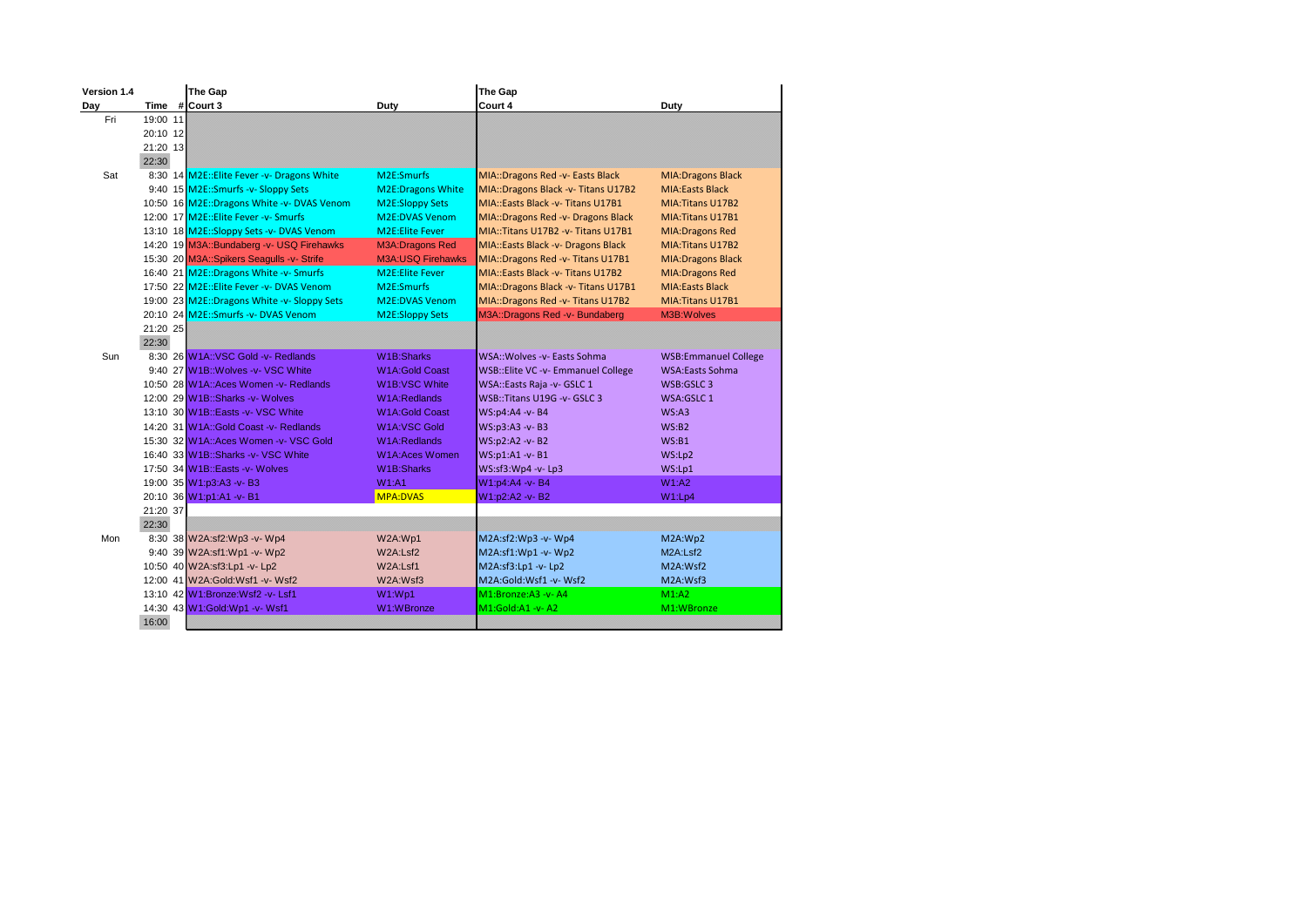| Version 1.4 |          | The Gap                                     |                          | The Gap                             |                             |
|-------------|----------|---------------------------------------------|--------------------------|-------------------------------------|-----------------------------|
| Day         |          | Time # Court 3                              | Duty                     | Court 4                             | Duty                        |
| Fri         | 19:00 11 |                                             |                          |                                     |                             |
|             | 20:10 12 |                                             |                          |                                     |                             |
|             | 21:20 13 |                                             |                          |                                     |                             |
|             | 22:30    |                                             |                          |                                     |                             |
| Sat         |          | 8:30 14 M2E::Elite Fever -v- Dragons White  | M2E:Smurfs               | MIA::Dragons Red -v- Easts Black    | <b>MIA:Dragons Black</b>    |
|             |          | 9:40 15 M2E:: Smurfs -v- Sloppy Sets        | <b>M2E:Dragons White</b> | MIA::Dragons Black -v- Titans U17B2 | <b>MIA:Easts Black</b>      |
|             |          | 10:50 16 M2E::Dragons White -v- DVAS Venom  | <b>M2E:Sloppy Sets</b>   | MIA::Easts Black -v- Titans U17B1   | MIA: Titans U17B2           |
|             |          | 12:00 17 M2E::Elite Fever - v- Smurfs       | <b>M2E:DVAS Venom</b>    | MIA::Dragons Red -v- Dragons Black  | MIA: Titans U17B1           |
|             |          | 13:10 18 M2E::Sloppy Sets -v- DVAS Venom    | <b>M2E:Elite Fever</b>   | MIA::Titans U17B2 -v- Titans U17B1  | <b>MIA:Dragons Red</b>      |
|             |          | 14:20 19 M3A::Bundaberg -v- USQ Firehawks   | <b>M3A:Dragons Red</b>   | MIA::Easts Black -v- Dragons Black  | MIA: Titans U17B2           |
|             |          | 15:30 20 M3A::Spikers Seagulls -v- Strife   | <b>M3A:USQ Firehawks</b> | MIA::Dragons Red -v- Titans U17B1   | <b>MIA:Dragons Black</b>    |
|             |          | 16:40 21 M2E::Dragons White -v- Smurfs      | <b>M2E:Elite Fever</b>   | MIA::Easts Black - v- Titans U17B2  | <b>MIA:Dragons Red</b>      |
|             |          | 17:50 22 M2E::Elite Fever -v- DVAS Venom    | M <sub>2E</sub> :Smurfs  | MIA::Dragons Black -v- Titans U17B1 | <b>MIA:Easts Black</b>      |
|             |          | 19:00 23 M2E::Dragons White -v- Sloppy Sets | <b>M2E:DVAS Venom</b>    | MIA::Dragons Red -v- Titans U17B2   | MIA: Titans U17B1           |
|             |          | 20:10 24 M2E::Smurfs -v- DVAS Venom         | <b>M2E:Sloppy Sets</b>   | M3A::Dragons Red -v- Bundaberg      | M3B: Wolves                 |
|             | 21:20 25 |                                             |                          |                                     |                             |
|             | 22:30    |                                             |                          |                                     |                             |
| Sun         |          | 8:30 26 W1A::VSC Gold -v- Redlands          | W1B:Sharks               | WSA::Wolves -v- Easts Sohma         | <b>WSB:Emmanuel College</b> |
|             |          | 9:40 27 W1B:: Wolves -v- VSC White          | <b>W1A:Gold Coast</b>    | WSB::Elite VC -v- Emmanuel College  | <b>WSA:Easts Sohma</b>      |
|             |          | 10:50 28 W1A::Aces Women - v- Redlands      | <b>W1B:VSC White</b>     | WSA::Easts Raja -v- GSLC 1          | WSB:GSLC3                   |
|             |          | 12:00 29 W1B::Sharks -v- Wolves             | <b>W1A:Redlands</b>      | WSB::Titans U19G -v- GSLC 3         | WSA:GSLC 1                  |
|             |          | 13:10 30 W1B::Easts -v- VSC White           | <b>W1A:Gold Coast</b>    | WS:p4:A4 -v- B4                     | WS: A3                      |
|             |          | 14:20 31 W1A::Gold Coast -v- Redlands       | <b>W1A:VSC Gold</b>      | WS:p3:A3 -v-B3                      | WS:B2                       |
|             |          | 15:30 32 W1A::Aces Women -v- VSC Gold       | W1A:Redlands             | WS:p2:A2 -v- B2                     | WS: B1                      |
|             |          | 16:40 33 W1B::Sharks -v- VSC White          | <b>W1A:Aces Women</b>    | WS:p1:A1 -v- B1                     | WS:Lp2                      |
|             |          | 17:50 34 W1B::Easts - v- Wolves             | <b>W1B:Sharks</b>        | WS:sf3:Wp4 -v- Lp3                  | WS:Lp1                      |
|             |          | 19:00 35 W1:p3:A3 -v- B3                    | <b>W1:A1</b>             | W1:p4:A4 -v- B4                     | W1: A2                      |
|             |          | 20:10 36 W1:p1:A1 -v- B1                    | <b>MPA:DVAS</b>          | W1:p2:A2 -v- B2                     | W1:Lp4                      |
|             | 21:20 37 |                                             |                          |                                     |                             |
|             | 22:30    |                                             |                          |                                     |                             |
| Mon         |          | 8:30 38 W2A:sf2:Wp3 -v- Wp4                 | W2A:Wp1                  | M2A:sf2:Wp3 -v- Wp4                 | M2A:Wp2                     |
|             |          | 9:40 39 W2A:sf1:Wp1 -v- Wp2                 | W2A:Lsf2                 | M2A:sf1:Wp1 -v- Wp2                 | M2A:Lsf2                    |
|             |          | 10:50 40 W2A:sf3:Lp1 -v- Lp2                | W2A:Lsf1                 | M2A:sf3:Lp1 -v- Lp2                 | M2A:Wsf2                    |
|             |          | 12:00 41 W2A:Gold:Wsf1 -v- Wsf2             | W2A:Wsf3                 | M2A:Gold:Wsf1 -v- Wsf2              | M2A:Wsf3                    |
|             |          | 13:10 42 W1:Bronze: Wsf2 - v- Lsf1          | W1:Wp1                   | M1:Bronze:A3 -v- A4                 | M1: A2                      |
|             |          | 14:30 43 W1:Gold:Wp1 -v- Wsf1               | W1:WBronze               | M1:Gold:A1 -v- A2                   | M1:WBronze                  |
|             | 16:00    |                                             |                          |                                     |                             |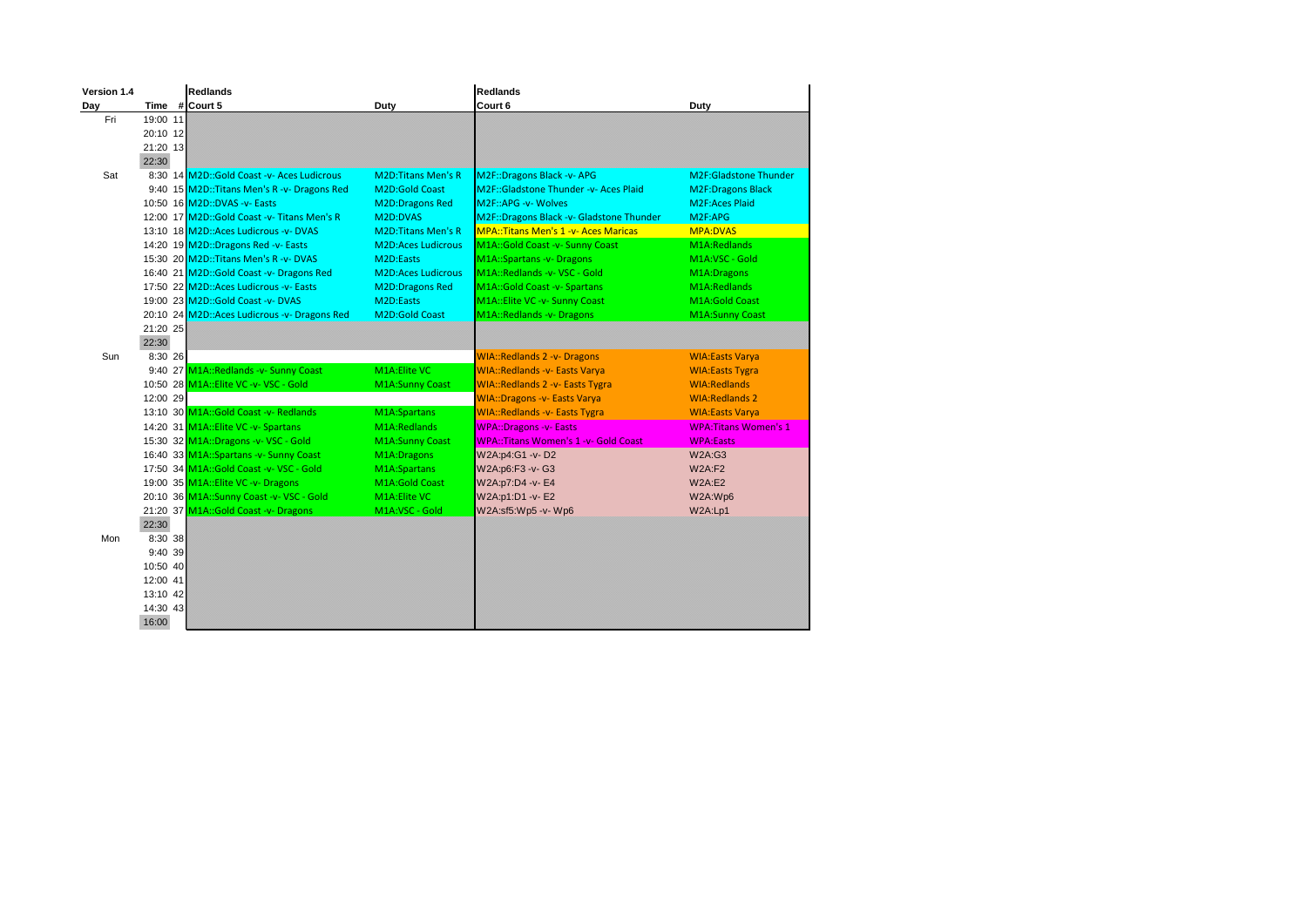| Version 1.4 |          | <b>Redlands</b>                              |                           | <b>Redlands</b>                              |                              |
|-------------|----------|----------------------------------------------|---------------------------|----------------------------------------------|------------------------------|
| Day         |          | Time # Court 5                               | Duty                      | Court 6                                      | Duty                         |
| Fri         | 19:00 11 |                                              |                           |                                              |                              |
|             | 20:10 12 |                                              |                           |                                              |                              |
|             | 21:20 13 |                                              |                           |                                              |                              |
|             | 22:30    |                                              |                           |                                              |                              |
| Sat         |          | 8:30 14 M2D::Gold Coast -v- Aces Ludicrous   | <b>M2D:Titans Men's R</b> | M2F::Dragons Black -v- APG                   | M2F:Gladstone Thunder        |
|             |          | 9:40 15 M2D::Titans Men's R -v- Dragons Red  | <b>M2D:Gold Coast</b>     | M2F::Gladstone Thunder -v- Aces Plaid        | <b>M2F:Dragons Black</b>     |
|             |          | 10:50 16 M2D::DVAS -v- Easts                 | <b>M2D:Dragons Red</b>    | M2F::APG -v- Wolves                          | <b>M2F:Aces Plaid</b>        |
|             |          | 12:00 17 M2D::Gold Coast -v- Titans Men's R  | M2D:DVAS                  | M2F::Dragons Black -v- Gladstone Thunder     | M2F:APG                      |
|             |          | 13:10 18 M2D:: Aces Ludicrous - v- DVAS      | <b>M2D:Titans Men's R</b> | <b>MPA::Titans Men's 1 -v- Aces Maricas</b>  | <b>MPA:DVAS</b>              |
|             |          | 14:20 19 M2D::Dragons Red -v- Easts          | <b>M2D:Aces Ludicrous</b> | M1A:: Gold Coast -v- Sunny Coast             | M1A:Redlands                 |
|             |          | 15:30 20 M2D::Titans Men's R -v- DVAS        | M2D:Easts                 | M1A::Spartans -v- Dragons                    | M1A:VSC - Gold               |
|             |          | 16:40 21 M2D::Gold Coast -v- Dragons Red     | <b>M2D:Aces Ludicrous</b> | M1A::Redlands -v- VSC - Gold                 | M1A:Dragons                  |
|             |          | 17:50 22 M2D: Aces Ludicrous - v- Easts      | <b>M2D:Dragons Red</b>    | M1A::Gold Coast -v- Spartans                 | M1A:Redlands                 |
|             |          | 19:00 23 M2D::Gold Coast -v- DVAS            | M2D:Easts                 | M1A::Elite VC -v- Sunny Coast                | <b>M1A:Gold Coast</b>        |
|             |          | 20:10 24 M2D::Aces Ludicrous -v- Dragons Red | <b>M2D:Gold Coast</b>     | M1A::Redlands -v- Dragons                    | <b>M1A:Sunny Coast</b>       |
|             | 21:20 25 |                                              |                           |                                              |                              |
|             | 22:30    |                                              |                           |                                              |                              |
| Sun         | 8:30 26  |                                              |                           | <b>WIA::Redlands 2 -v- Dragons</b>           | <b>WIA:Easts Varya</b>       |
|             |          | 9:40 27 M1A::Redlands -v- Sunny Coast        | M1A:Elite VC              | <b>WIA::Redlands -v- Easts Varya</b>         | <b>WIA:Easts Tygra</b>       |
|             |          | 10:50 28 M1A::Elite VC -v- VSC - Gold        | <b>M1A:Sunny Coast</b>    | <b>WIA::Redlands 2 -v- Easts Tygra</b>       | <b>WIA:Redlands</b>          |
|             | 12:00 29 |                                              |                           | <b>WIA::Dragons -v- Easts Varya</b>          | <b>WIA:Redlands 2</b>        |
|             |          | 13:10 30 M1A::Gold Coast -v- Redlands        | M1A:Spartans              | <b>WIA::Redlands -v- Easts Tygra</b>         | <b>WIA:Easts Varya</b>       |
|             |          | 14:20 31 M1A::Elite VC -v- Spartans          | M1A:Redlands              | <b>WPA::Dragons -v- Easts</b>                | <b>WPA: Titans Women's 1</b> |
|             |          | 15:30 32 M1A::Dragons -v- VSC - Gold         | <b>M1A:Sunny Coast</b>    | <b>WPA:: Titans Women's 1 -v- Gold Coast</b> | <b>WPA:Easts</b>             |
|             |          | 16:40 33 M1A: Spartans -v- Sunny Coast       | M1A:Dragons               | W2A:p4:G1 -v-D2                              | <b>W2A:G3</b>                |
|             |          | 17:50 34 M1A::Gold Coast -v- VSC - Gold      | M1A:Spartans              | W2A:p6:F3 -v- G3                             | <b>W2A:F2</b>                |
|             |          | 19:00 35 M1A::Elite VC -v- Dragons           | M1A:Gold Coast            | W2A:p7:D4 -v- E4                             | W2A: E2                      |
|             |          | 20:10 36 M1A::Sunny Coast -v- VSC - Gold     | M1A:Elite VC              | W2A:p1:D1 -v- E2                             | W2A:Wp6                      |
|             |          | 21:20 37 M1A::Gold Coast -v- Dragons         | M1A:VSC - Gold            | W2A:sf5:Wp5 -v- Wp6                          | W2A:Lp1                      |
|             | 22:30    |                                              |                           |                                              |                              |
| Mon         | 8:30 38  |                                              |                           |                                              |                              |
|             | 9:40 39  |                                              |                           |                                              |                              |
|             | 10:50 40 |                                              |                           |                                              |                              |
|             | 12:00 41 |                                              |                           |                                              |                              |
|             | 13:10 42 |                                              |                           |                                              |                              |
|             | 14:30 43 |                                              |                           |                                              |                              |
|             | 16:00    |                                              |                           |                                              |                              |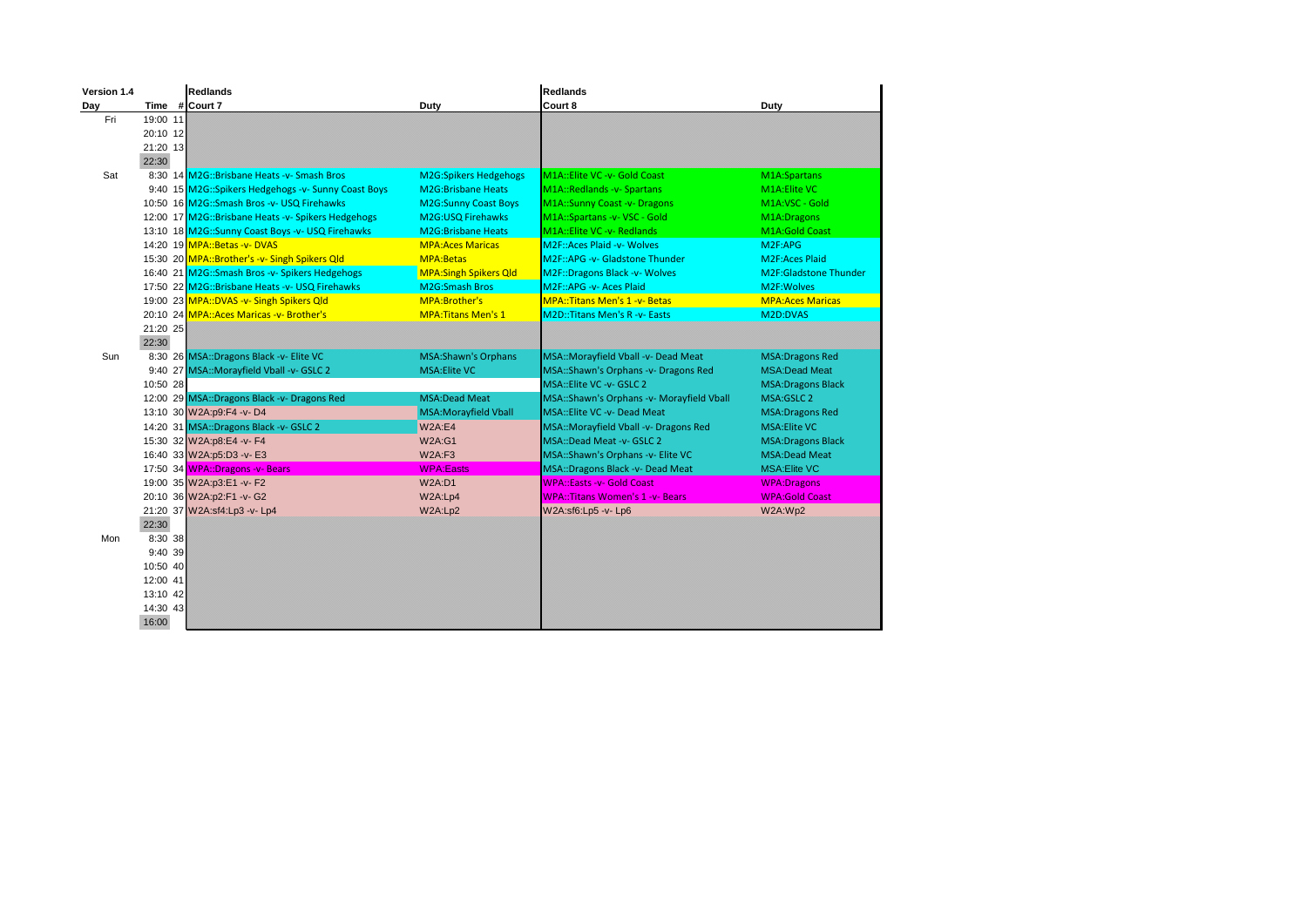| Version 1.4 |          | Redlands                                            |                              | <b>Redlands</b>                           |                                    |
|-------------|----------|-----------------------------------------------------|------------------------------|-------------------------------------------|------------------------------------|
| Day         |          | Time #Court 7                                       | <b>Duty</b>                  | Court 8                                   | Duty                               |
| Fri         | 19:00 11 |                                                     |                              |                                           |                                    |
|             | 20:10 12 |                                                     |                              |                                           |                                    |
|             | 21:20 13 |                                                     |                              |                                           |                                    |
|             | 22:30    |                                                     |                              |                                           |                                    |
| Sat         |          | 8:30 14 M2G::Brisbane Heats -v- Smash Bros          | <b>M2G:Spikers Hedgehogs</b> | M1A::Elite VC -v- Gold Coast              | M1A:Spartans                       |
|             |          | 9:40 15 M2G::Spikers Hedgehogs -v- Sunny Coast Boys | <b>M2G:Brisbane Heats</b>    | M1A::Redlands -v- Spartans                | M1A: Elite VC                      |
|             |          | 10:50 16 M2G::Smash Bros -v- USQ Firehawks          | <b>M2G:Sunny Coast Boys</b>  | M1A::Sunny Coast -v- Dragons              | M1A:VSC - Gold                     |
|             |          | 12:00 17 M2G::Brisbane Heats -v- Spikers Hedgehogs  | M2G:USQ Firehawks            | M1A::Spartans -v- VSC - Gold              | M1A:Dragons                        |
|             |          | 13:10 18 M2G::Sunny Coast Boys -v- USQ Firehawks    | <b>M2G:Brisbane Heats</b>    | M1A::Elite VC -v- Redlands                | <b>M1A:Gold Coast</b>              |
|             |          | 14:20 19 MPA::Betas -v- DVAS                        | <b>MPA:Aces Maricas</b>      | <b>M2F::Aces Plaid -v- Wolves</b>         | M2F:APG                            |
|             |          | 15:30 20 MPA::Brother's -v- Singh Spikers Qld       | <b>MPA:Betas</b>             | M2F::APG -v- Gladstone Thunder            | <b>M2F:Aces Plaid</b>              |
|             |          | 16:40 21 M2G::Smash Bros -v- Spikers Hedgehogs      | <b>MPA:Singh Spikers Qld</b> | M2F::Dragons Black -v- Wolves             | M <sub>2F</sub> :Gladstone Thunder |
|             |          | 17:50 22 M2G::Brisbane Heats -v- USQ Firehawks      | <b>M2G:Smash Bros</b>        | M2F::APG -v- Aces Plaid                   | M2F:Wolves                         |
|             |          | 19:00 23 MPA::DVAS -v- Singh Spikers Qld            | MPA:Brother's                | MPA:: Titans Men's 1 -v- Betas            | <b>MPA:Aces Maricas</b>            |
|             |          | 20:10 24 MPA: Aces Maricas -v- Brother's            | <b>MPA: Titans Men's 1</b>   | <b>M2D::Titans Men's R -v- Easts</b>      | M2D:DVAS                           |
|             | 21:20 25 |                                                     |                              |                                           |                                    |
|             | 22:30    |                                                     |                              |                                           |                                    |
| Sun         |          | 8:30 26 MSA::Dragons Black -v- Elite VC             | <b>MSA:Shawn's Orphans</b>   | MSA::Morayfield Vball -v- Dead Meat       | <b>MSA:Dragons Red</b>             |
|             |          | 9:40 27 MSA::Morayfield Vball -v- GSLC 2            | <b>MSA:Elite VC</b>          | MSA::Shawn's Orphans -v- Dragons Red      | <b>MSA:Dead Meat</b>               |
|             | 10:50 28 |                                                     |                              | MSA::Elite VC -v- GSLC 2                  | <b>MSA:Dragons Black</b>           |
|             |          | 12:00 29 MSA::Dragons Black -v- Dragons Red         | <b>MSA:Dead Meat</b>         | MSA::Shawn's Orphans -v- Morayfield Vball | MSA:GSLC 2                         |
|             |          | 13:10 30 W2A:p9:F4 -v-D4                            | <b>MSA:Morayfield Vball</b>  | <b>MSA::Elite VC -v- Dead Meat</b>        | <b>MSA:Dragons Red</b>             |
|             |          | 14:20 31 MSA::Dragons Black -v- GSLC 2              | <b>W2A:E4</b>                | MSA::Morayfield Vball -v- Dragons Red     | <b>MSA:Elite VC</b>                |
|             |          | 15:30 32 W2A:p8:E4 -v- F4                           | <b>W2A:G1</b>                | MSA::Dead Meat -v- GSLC 2                 | <b>MSA:Dragons Black</b>           |
|             |          | 16:40 33 W2A:p5:D3 -v- E3                           | <b>W2A:F3</b>                | MSA::Shawn's Orphans -v- Elite VC         | <b>MSA:Dead Meat</b>               |
|             |          | 17:50 34 WPA::Dragons -v- Bears                     | <b>WPA:Easts</b>             | MSA::Dragons Black -v- Dead Meat          | <b>MSA:Elite VC</b>                |
|             |          | 19:00 35 W2A:p3:E1 -v- F2                           | <b>W2A:D1</b>                | WPA::Easts -v- Gold Coast                 | <b>WPA:Dragons</b>                 |
|             |          | 20:10 36 W2A:p2:F1 -v- G2                           | W2A:Lp4                      | <b>WPA::Titans Women's 1 -v- Bears</b>    | <b>WPA:Gold Coast</b>              |
|             |          | 21:20 37 W2A:sf4:Lp3 -v- Lp4                        | W2A:Lp2                      | W2A:sf6:Lp5 -v- Lp6                       | W2A:Wp2                            |
|             | 22:30    |                                                     |                              |                                           |                                    |
| Mon         | 8:30 38  |                                                     |                              |                                           |                                    |
|             | 9:40 39  |                                                     |                              |                                           |                                    |
|             | 10:50 40 |                                                     |                              |                                           |                                    |
|             | 12:00 41 |                                                     |                              |                                           |                                    |
|             | 13:10 42 |                                                     |                              |                                           |                                    |
|             | 14:30 43 |                                                     |                              |                                           |                                    |
|             | 16:00    |                                                     |                              |                                           |                                    |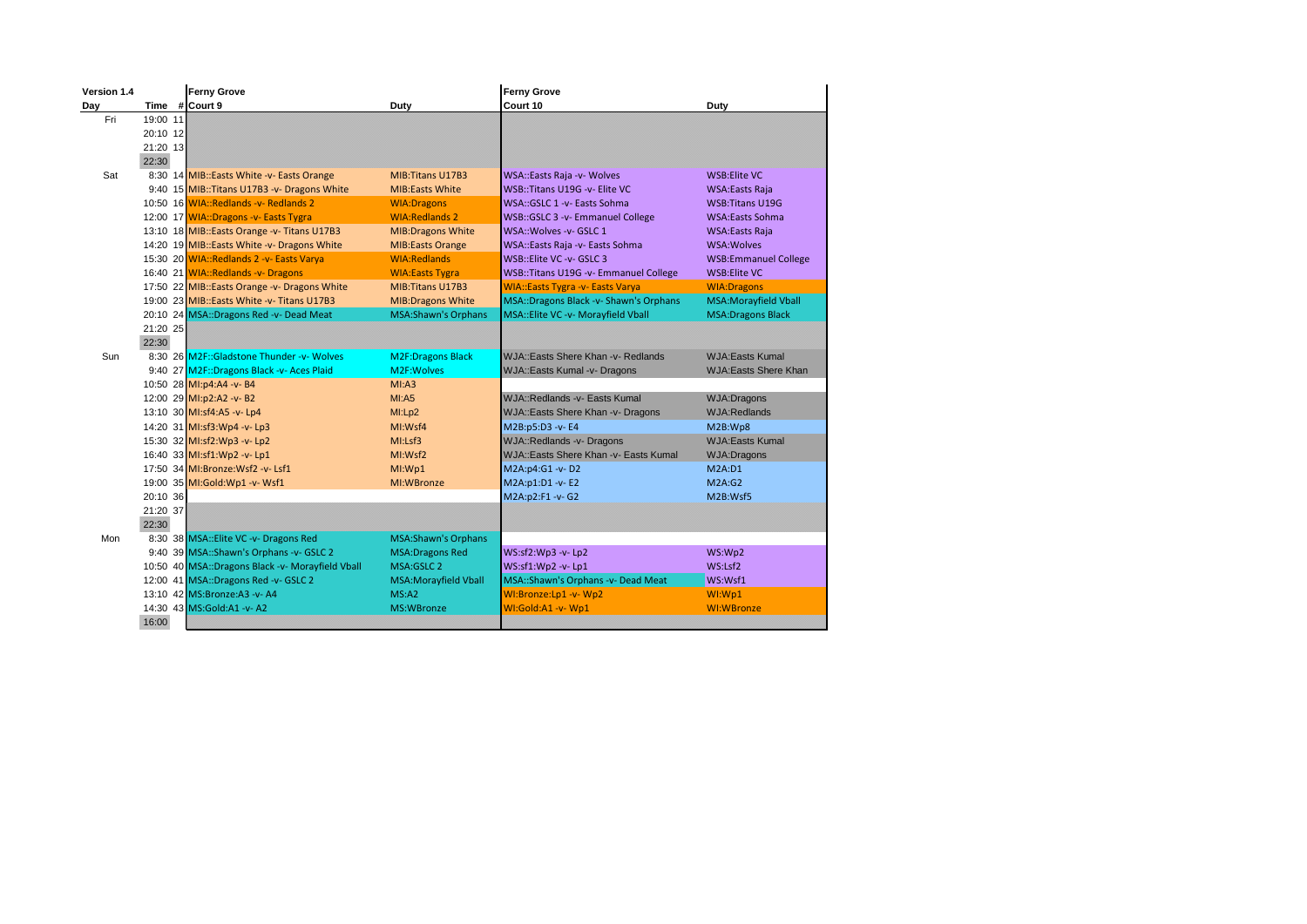| Version 1.4 |          | <b>Ferny Grove</b>                               |                            | <b>Ferny Grove</b>                      |                             |
|-------------|----------|--------------------------------------------------|----------------------------|-----------------------------------------|-----------------------------|
| Day         |          | Time #Court 9                                    | Duty                       | Court 10                                | Duty                        |
| Fri         | 19:00 11 |                                                  |                            |                                         |                             |
|             | 20:10 12 |                                                  |                            |                                         |                             |
|             | 21:20 13 |                                                  |                            |                                         |                             |
|             | 22:30    |                                                  |                            |                                         |                             |
| Sat         |          | 8:30 14 MIB::Easts White -v- Easts Orange        | MIB: Titans U17B3          | <b>WSA::Easts Raja -v- Wolves</b>       | <b>WSB:Elite VC</b>         |
|             |          | 9:40 15 MIB:: Titans U17B3 -v- Dragons White     | <b>MIB:Easts White</b>     | WSB::Titans U19G -v- Elite VC           | <b>WSA:Easts Raja</b>       |
|             |          | 10:50 16 WIA::Redlands -v- Redlands 2            | <b>WIA:Dragons</b>         | WSA::GSLC 1 - v - Easts Sohma           | <b>WSB:Titans U19G</b>      |
|             |          | 12:00 17 WIA::Dragons -v- Easts Tygra            | <b>WIA:Redlands 2</b>      | WSB::GSLC 3 -v- Emmanuel College        | <b>WSA:Easts Sohma</b>      |
|             |          | 13:10 18 MIB::Easts Orange -v- Titans U17B3      | <b>MIB:Dragons White</b>   | WSA:: Wolves - v- GSLC 1                | <b>WSA:Easts Raja</b>       |
|             |          | 14:20 19 MIB::Easts White -v- Dragons White      | <b>MIB:Easts Orange</b>    | WSA::Easts Raja -v- Easts Sohma         | <b>WSA:Wolves</b>           |
|             |          | 15:30 20 WIA::Redlands 2 -v- Easts Varya         | <b>WIA:Redlands</b>        | WSB::Elite VC -v- GSLC 3                | <b>WSB:Emmanuel College</b> |
|             |          | 16:40 21 WIA::Redlands -v- Dragons               | <b>WIA:Easts Tygra</b>     | WSB::Titans U19G -v- Emmanuel College   | WSB:Elite VC                |
|             |          | 17:50 22 MIB::Easts Orange -v- Dragons White     | MIB: Titans U17B3          | <b>WIA::Easts Tygra -v- Easts Varya</b> | <b>WIA:Dragons</b>          |
|             |          | 19:00 23 MIB::Easts White -v- Titans U17B3       | <b>MIB:Dragons White</b>   | MSA::Dragons Black -v- Shawn's Orphans  | <b>MSA:Morayfield Vball</b> |
|             |          | 20:10 24 MSA::Dragons Red -v- Dead Meat          | <b>MSA:Shawn's Orphans</b> | MSA:: Elite VC -v- Morayfield Vball     | <b>MSA:Dragons Black</b>    |
|             | 21:20 25 |                                                  |                            |                                         |                             |
|             | 22:30    |                                                  |                            |                                         |                             |
| Sun         |          | 8:30 26 M2F::Gladstone Thunder -v- Wolves        | <b>M2F:Dragons Black</b>   | WJA::Easts Shere Khan -v- Redlands      | <b>WJA:Easts Kumal</b>      |
|             |          | 9:40 27 M2F::Dragons Black -v- Aces Plaid        | M2F: Wolves                | WJA::Easts Kumal -v- Dragons            | <b>WJA:Easts Shere Khan</b> |
|             |          | 10:50 28 MI:p4:A4 -v- B4                         | MI: A3                     |                                         |                             |
|             |          | 12:00 29 MI:p2:A2 -v- B2                         | MI:AS                      | WJA::Redlands -v- Easts Kumal           | <b>WJA:Dragons</b>          |
|             |          | 13:10 30 MI:sf4:A5 -v- Lp4                       | MI:L <sub>D2</sub>         | WJA::Easts Shere Khan -v- Dragons       | <b>WJA:Redlands</b>         |
|             |          | 14:20 31 MI:sf3:Wp4 -v- Lp3                      | MI:Wsf4                    | M2B:p5:D3 -v- E4                        | M2B:Wp8                     |
|             |          | 15:30 32 MI:sf2:Wp3 -v- Lp2                      | M!: Lsf3                   | <b>WJA::Redlands -v- Dragons</b>        | <b>WJA:Easts Kumal</b>      |
|             |          | 16:40 33 MI:sf1:Wp2 -v- Lp1                      | MI:Wsf2                    | WJA::Easts Shere Khan -v- Easts Kumal   | <b>WJA:Dragons</b>          |
|             |          | 17:50 34 MI:Bronze: Wsf2 - v- Lsf1               | MI:WD1                     | M2A:p4:G1 -v-D2                         | M2A: D1                     |
|             |          | 19:00 35 MI:Gold:Wp1 -v- Wsf1                    | MI:WBronze                 | M2A:p1:D1 -v- E2                        | M2A:G2                      |
|             | 20:10 36 |                                                  |                            | M2A:p2:F1 -v- G2                        | M2B:Wsf5                    |
|             | 21:20 37 |                                                  |                            |                                         |                             |
|             | 22:30    |                                                  |                            |                                         |                             |
| Mon         |          | 8:30 38 MSA:: Elite VC -v- Dragons Red           | <b>MSA:Shawn's Orphans</b> |                                         |                             |
|             |          | 9:40 39 MSA::Shawn's Orphans -v- GSLC 2          | <b>MSA:Dragons Red</b>     | WS:sf2:Wp3 -v- Lp2                      | WS:Wp2                      |
|             |          | 10:50 40 MSA::Dragons Black -v- Morayfield Vball | MSA:GSLC 2                 | WS:sf1:Wp2 -v- Lp1                      | WS: Lsf2                    |
|             |          | 12:00 41 MSA::Dragons Red -v- GSLC 2             | MSA:Morayfield Vball       | MSA::Shawn's Orphans -v- Dead Meat      | WS:Wsf1                     |
|             |          | 13:10 42 MS:Bronze:A3 -v- A4                     | MS: A2                     | WI:Bronze:Lp1 -v- Wp2                   | WI:Wp1                      |
|             |          | 14:30 43 MS:Gold:A1 -v-A2                        | MS:WBronze                 | WI:Gold:A1 -v- Wp1                      | WI:WBronze                  |
|             | 16:00    |                                                  |                            |                                         |                             |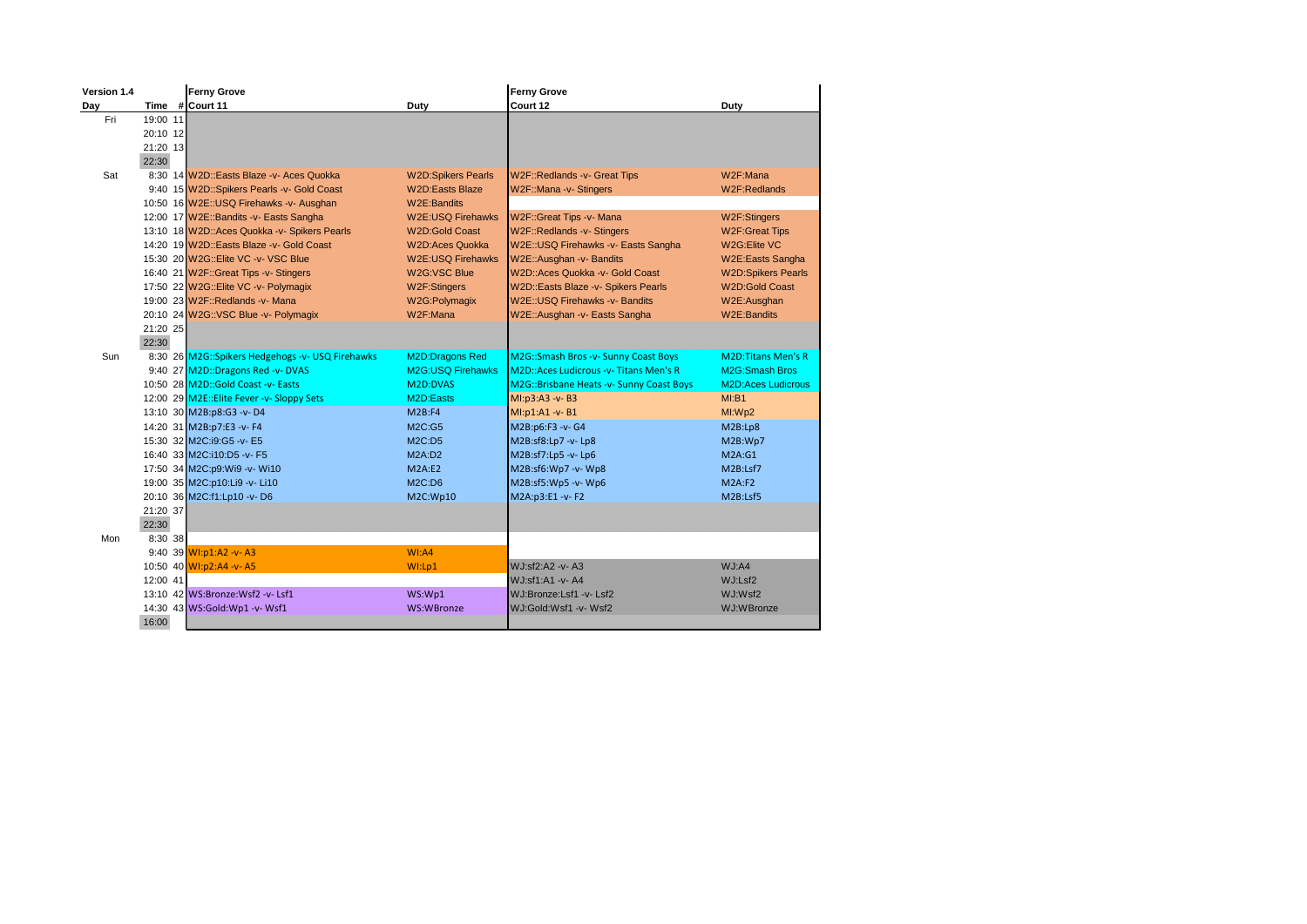| Version 1.4 |          | <b>Ferny Grove</b>                               |                           | <b>Ferny Grove</b>                       |                           |
|-------------|----------|--------------------------------------------------|---------------------------|------------------------------------------|---------------------------|
| Day         |          | Time #Court 11                                   | Duty                      | Court 12                                 | Duty                      |
| Fri         | 19:00 11 |                                                  |                           |                                          |                           |
|             | 20:10 12 |                                                  |                           |                                          |                           |
|             | 21:20 13 |                                                  |                           |                                          |                           |
|             | 22:30    |                                                  |                           |                                          |                           |
| Sat         |          | 8:30 14 W2D::Easts Blaze -v- Aces Quokka         | <b>W2D:Spikers Pearls</b> | W2F::Redlands -v- Great Tips             | W2F:Mana                  |
|             |          | 9:40 15 W2D::Spikers Pearls -v- Gold Coast       | <b>W2D:Easts Blaze</b>    | W2F::Mana -v- Stingers                   | W2F:Redlands              |
|             |          | 10:50 16 W2E:: USQ Firehawks -v- Ausghan         | W2E:Bandits               |                                          |                           |
|             |          | 12:00 17 W2E::Bandits -v- Easts Sangha           | <b>W2E:USQ Firehawks</b>  | W2F::Great Tips -v- Mana                 | W2F:Stingers              |
|             |          | 13:10 18 W2D:: Aces Quokka -v- Spikers Pearls    | <b>W2D:Gold Coast</b>     | W2F::Redlands -v- Stingers               | <b>W2F:Great Tips</b>     |
|             |          | 14:20 19 W2D::Easts Blaze -v- Gold Coast         | <b>W2D:Aces Quokka</b>    | W2E:: USQ Firehawks -v- Easts Sangha     | W2G: Elite VC             |
|             |          | 15:30 20 W2G::Elite VC -v- VSC Blue              | <b>W2E:USQ Firehawks</b>  | W2E::Ausghan -v- Bandits                 | W2E:Easts Sangha          |
|             |          | 16:40 21 W2F::Great Tips -v- Stingers            | W2G:VSC Blue              | W2D::Aces Quokka -v- Gold Coast          | <b>W2D:Spikers Pearls</b> |
|             |          | 17:50 22 W2G::Elite VC -v- Polymagix             | W2F:Stingers              | W2D::Easts Blaze -v- Spikers Pearls      | <b>W2D:Gold Coast</b>     |
|             |          | 19:00 23 W2F::Redlands -v- Mana                  | W2G:Polymagix             | W2E:: USQ Firehawks - v- Bandits         | W2E:Ausghan               |
|             |          | 20:10 24 W2G::VSC Blue -v- Polymagix             | W2F:Mana                  | W2E::Ausghan -v- Easts Sangha            | W2E:Bandits               |
|             | 21:20 25 |                                                  |                           |                                          |                           |
|             | 22:30    |                                                  |                           |                                          |                           |
| Sun         |          | 8:30 26 M2G::Spikers Hedgehogs -v- USQ Firehawks | M2D:Dragons Red           | M2G::Smash Bros -v- Sunny Coast Boys     | <b>M2D:Titans Men's R</b> |
|             |          | 9:40 27 M2D::Dragons Red -v- DVAS                | <b>M2G:USO Firehawks</b>  | M2D::Aces Ludicrous - v- Titans Men's R  | <b>M2G:Smash Bros</b>     |
|             |          | 10:50 28 M2D::Gold Coast -v- Easts               | M <sub>2D</sub> :DVAS     | M2G::Brisbane Heats -v- Sunny Coast Boys | <b>M2D:Aces Ludicrous</b> |
|             |          | 12:00 29 M2E:: Elite Fever - v- Sloppy Sets      | M <sub>2D</sub> :Easts    | MI:p3:A3 -v- B3                          | MI:B1                     |
|             |          | 13:10 30 M2B:p8:G3 -v-D4                         | M2B:FA                    | MI:p1:A1 -v- B1                          | MI:Wp2                    |
|             |          | 14:20 31 M2B:p7:E3 -v- F4                        | M2C:G5                    | M2B:p6:F3 -v- G4                         | M2B:Lp8                   |
|             |          | 15:30 32 M2C:i9:G5 -v- E5                        | M2C:DS                    | M2B:sf8:Lp7 -v- Lp8                      | M2B:Wp7                   |
|             |          | 16:40 33 M2C:10:D5 - v- F5                       | <b>M2A:D2</b>             | M2B:sf7:Lp5 -v- Lp6                      | M2A:G1                    |
|             |          | 17:50 34 M2C:p9:Wi9 -v- Wi10                     | M2A: E2                   | M2B:sf6:Wp7 -v- Wp8                      | M2B:Lsf7                  |
|             |          | 19:00 35 M2C:p10:Li9 -v- Li10                    | M2C:DB                    | M2B:sf5:Wp5 -v- Wp6                      | M2A: F2                   |
|             |          | 20:10 36 M2C:f1:Lp10 -v- D6                      | M2C:Wp10                  | M2A:p3:E1 -v- F2                         | M2B:Lsf5                  |
|             | 21:20 37 |                                                  |                           |                                          |                           |
|             | 22:30    |                                                  |                           |                                          |                           |
| Mon         | 8:30 38  |                                                  |                           |                                          |                           |
|             |          | 9:40 39 WI:p1:A2 -v- A3                          | WI:AA                     |                                          |                           |
|             |          | 10:50 40 WI:p2:A4 -v- A5                         | WI:Lp1                    | WJ:sf2:A2 -v- A3                         | WJ:AA                     |
|             | 12:00 41 |                                                  |                           | WJ:sf1:A1 -v- A4                         | WJ:Lsf2                   |
|             |          | 13:10 42 WS:Bronze: Wsf2 - v- Lsf1               | WS:Wp1                    | WJ:Bronze:Lsf1 -v- Lsf2                  | WJ:Wsf2                   |
|             |          | 14:30 43 WS:Gold:Wp1 -v- Wsf1                    | <b>WS:WBronze</b>         | WJ:Gold:Wsf1 -v- Wsf2                    | WJ:WBronze                |
|             | 16:00    |                                                  |                           |                                          |                           |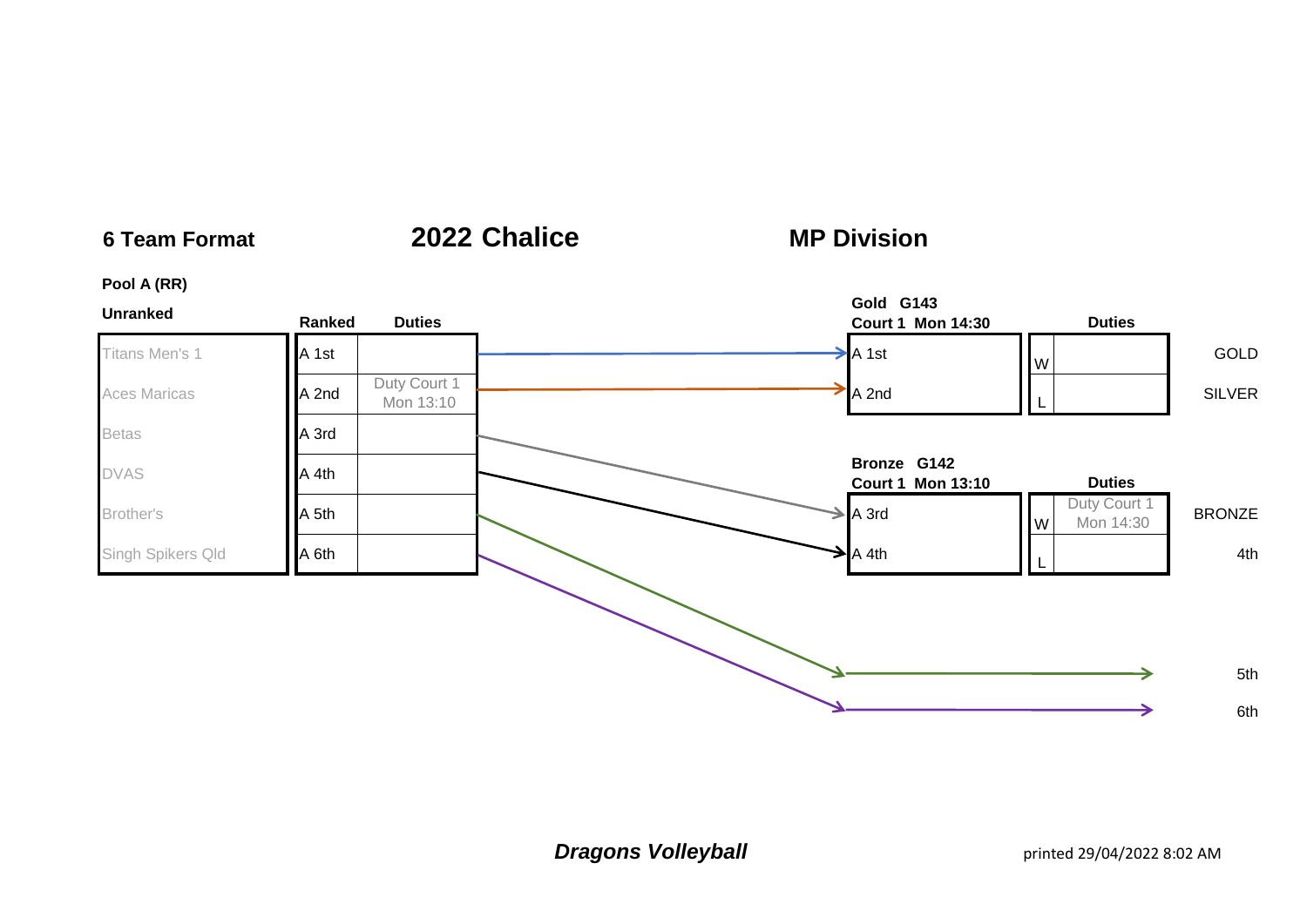# **6 Team Format 2022 Chalice**

# **MP Division**

## **Pool A (RR)**

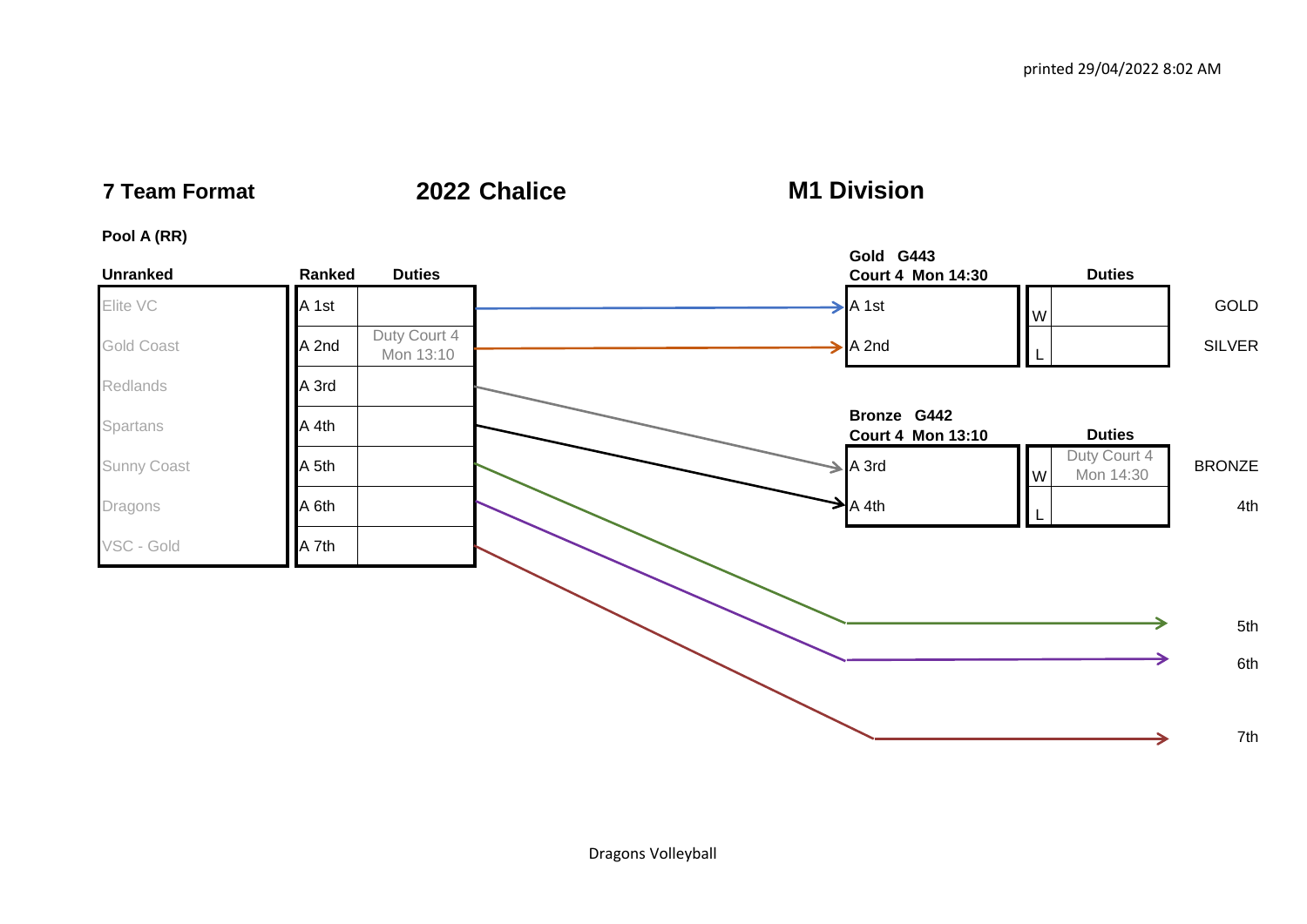**7 Team Format 2022 Chalice**

**M1 Division**

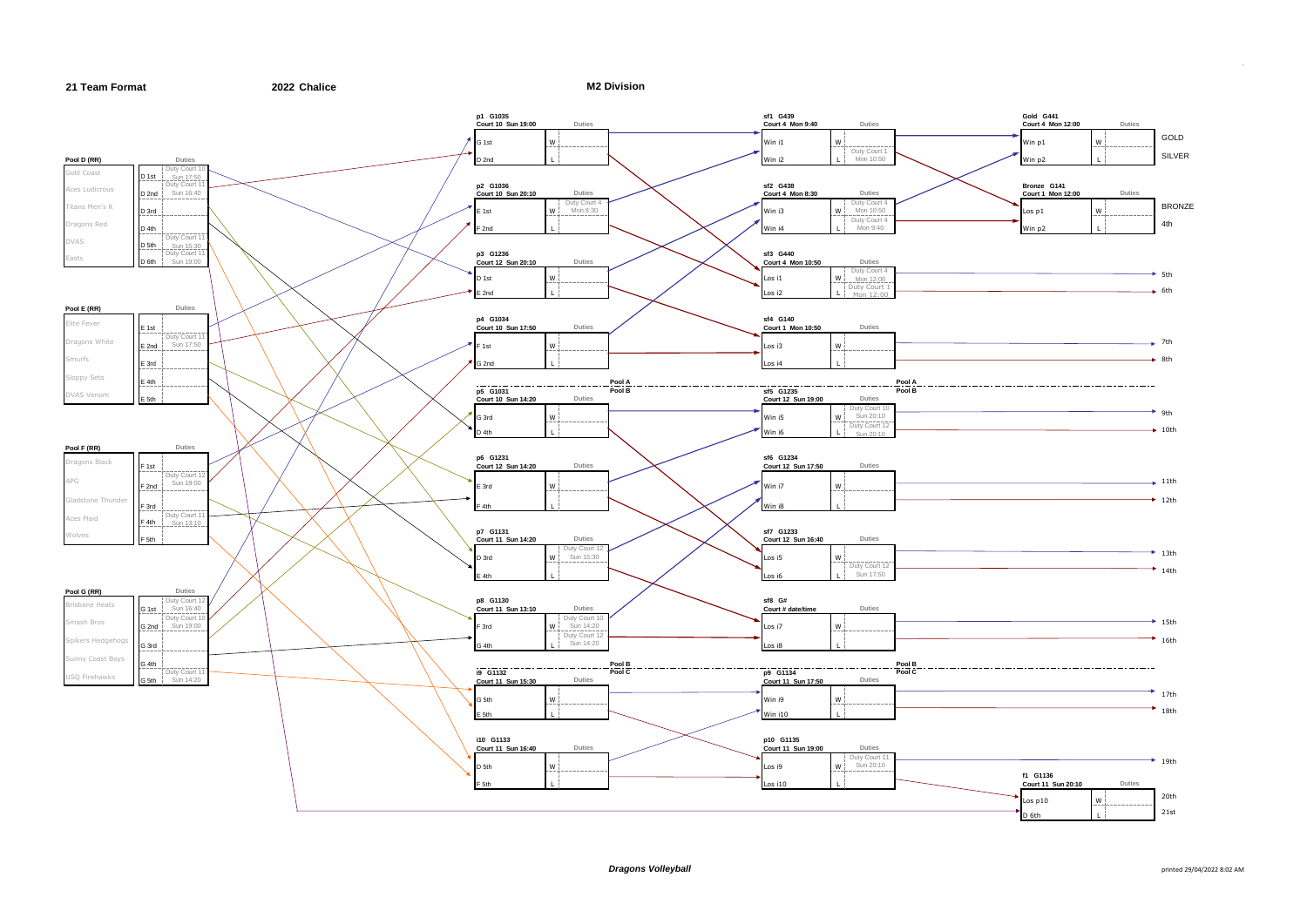

**M2 Division**



.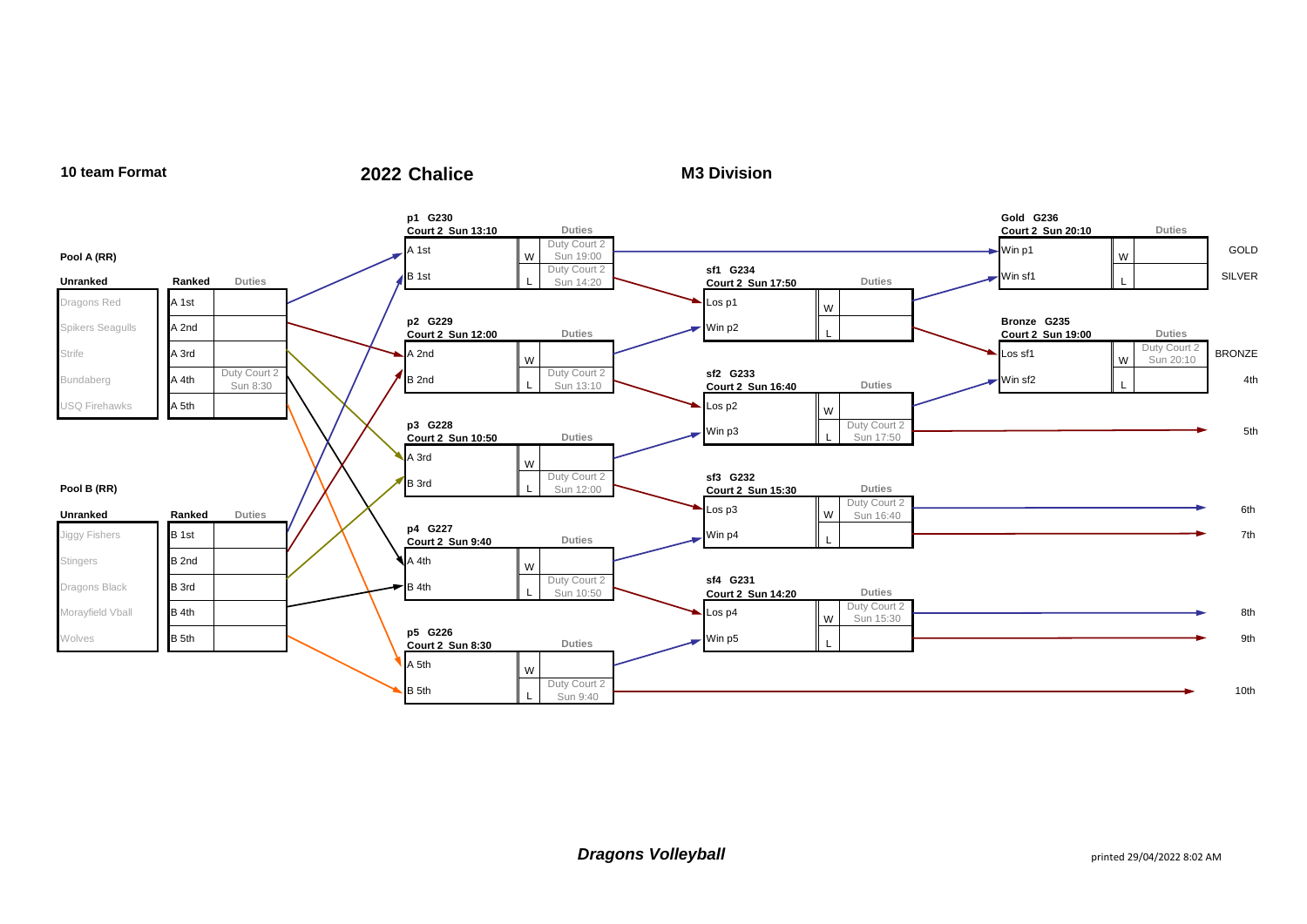

## **10 team Format 2022 Chalice**

**M3 Division**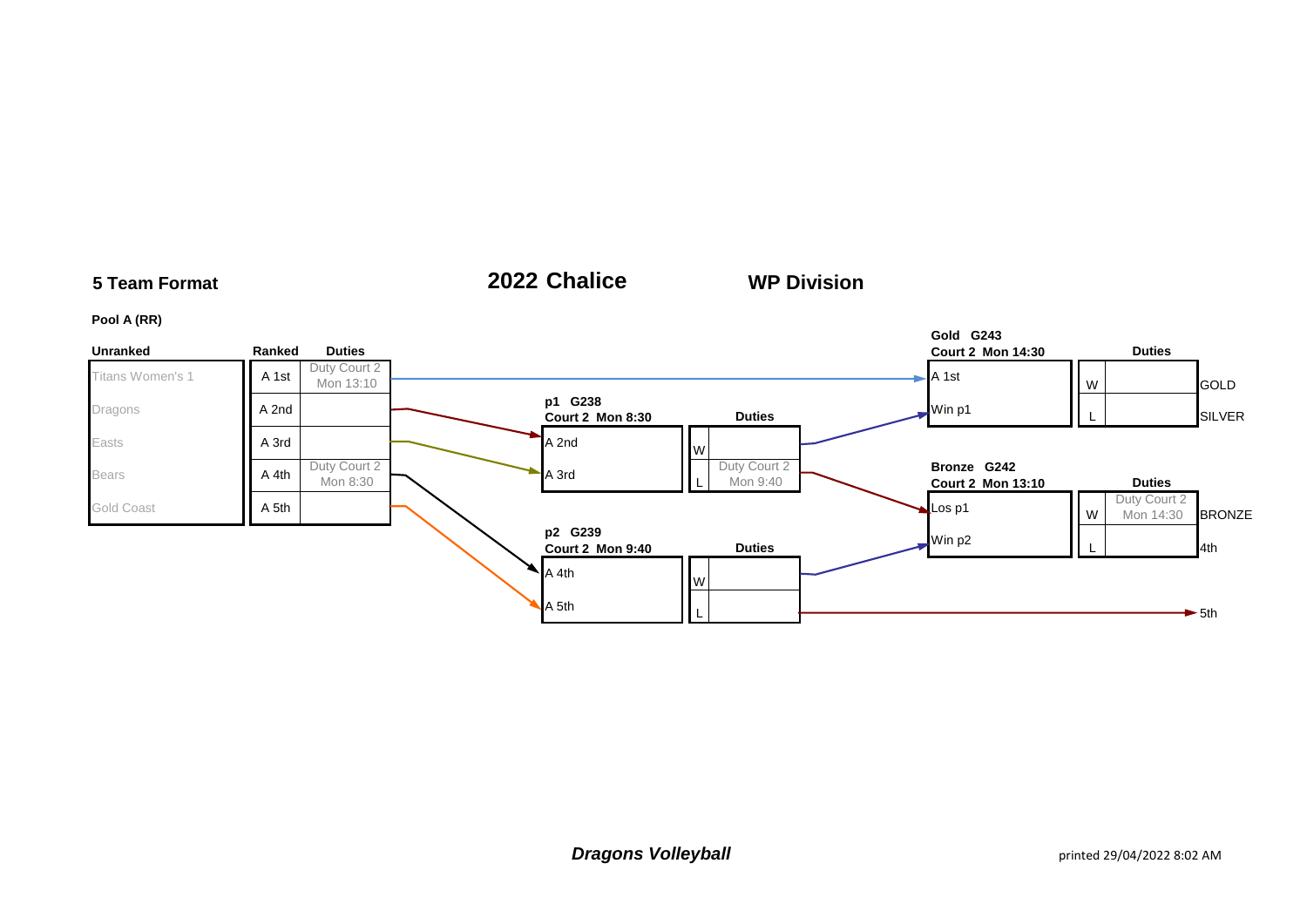

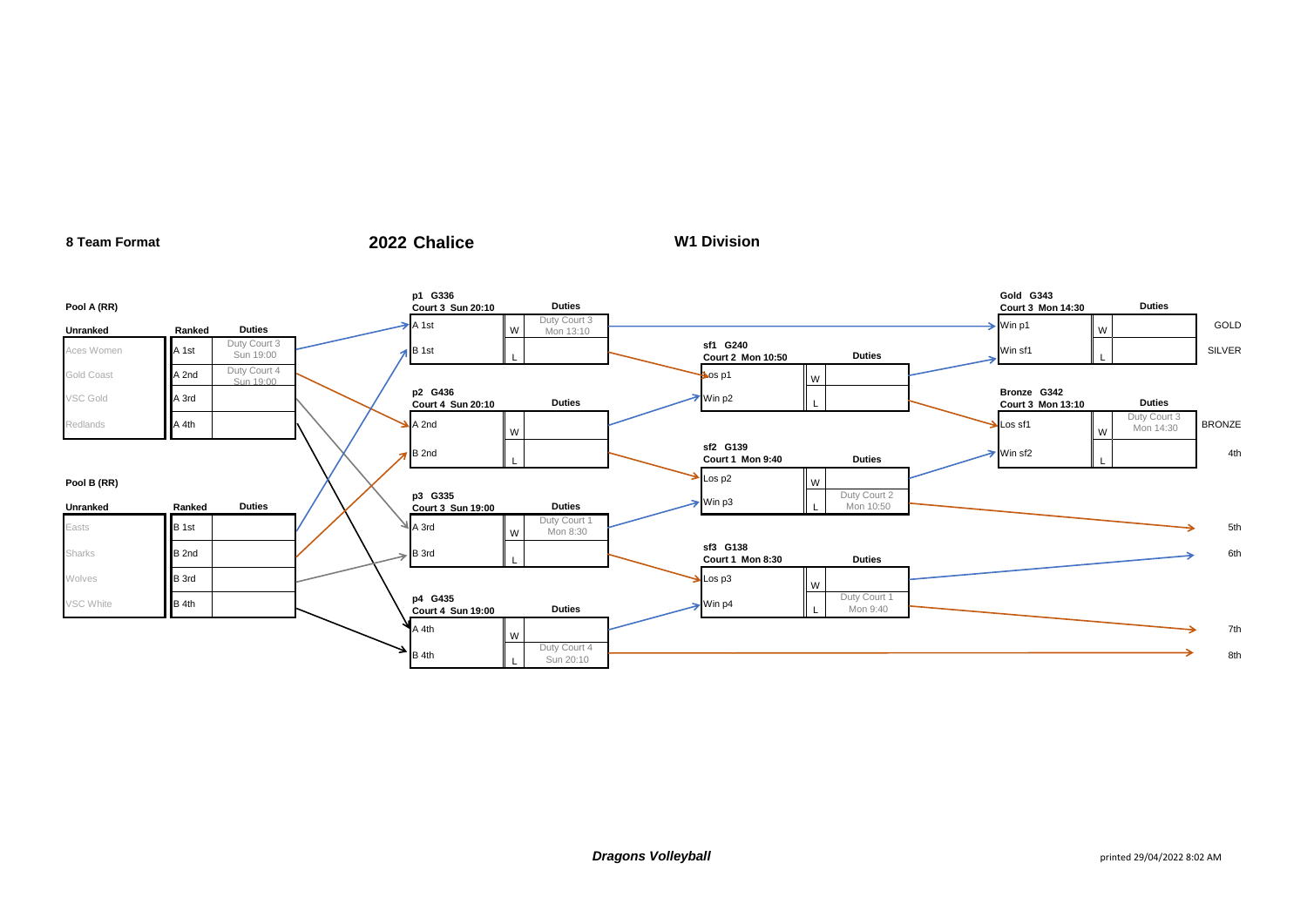### **Pool A (RR) p1 G336 Court 3 Sun 20:10 Duties Gold G343 Court 3 Mon 14:30 Duties** Unranked **Ranked Duties** A 1st W Duty Court 3<br>Mon 13:10  $\begin{array}{ccc} \text{Mon 13:10} & \longrightarrow & \text{Win p1} \end{array}$ GOLD Aces Women **A 1st** Duty Court 3 Sun 19:00<br>Duty Court 4 **sf1 G240 Court 2 Mon 10:50 Duties** Win sf1 <sup>L</sup> SILVER Gold Coast **A 2nd**  Sun 19:00 Los p1 <sup>W</sup> VSC Gold **A 3rd A** 3rd **p2 G436 Court 4 Sun 20:10 Duties** Duties Win p2 **Bronze G342 Court 3 Mon 13:10 Duties** Redlands **A 4th A 2nd A 2nd** A 2nd W Los sf1 W Duty Court 3  $\frac{D_{\text{UUY}}}{\text{Mon } 14:30}$  BRONZE B 2nd L **sf2 G139 Court 1 Mon 9:40 Duties Duties** Win sf2 L 4th **Pool B (RR)**  $\begin{matrix} \lambda & \lambda' \end{matrix}$ **Unranked Ranked Duties p3 G335 court 3 Sun 19:00 Duties** Duties Min p3 Duty Court 2 Mon 10:50 Easts  $B$  1st  $\begin{array}{|c|c|c|c|c|}\n\hline\n\end{array}$   $\begin{array}{|c|c|c|c|}\n\hline\n\end{array}$  W  $\begin{array}{|c|c|c|}\n\hline\n\end{array}$  W  $\begin{array}{|c|c|c|}\n\hline\n\end{array}$ Duty Court 1<br>Mon 8:30  $\longrightarrow$  5th Mon 8:30 Sharks **B 2nd B 2nd B 2nd B 3rd** L **sf3 G138 Court 1 Mon 8:30 Duties Court 1 Mon 8:30 Court 1 Mon 8:30** Wolves B 3rd Los p3 Wolvey B 3rd Los p3 Wolvey B 3rd Los p3 Wolvey 2006 p3 Wolvey B 2006 p3 Wolvey 2006 p3 Wolvey 2006 p3 Wolvey 2006 p3 Wolvey 2006 p3 Wolvey 2006 p3 Wolvey 2007 p3 Wolvey 2007 p3 Wolvey 2007 p3 Wolvey 200 VSC White **p4 G435**<br> **p4 G435 p4 G435**<br>**Court 4 Sun 19:00 Duties** Duties **Duties** Win p4 Duty Court 1 Mon 9:40  $A$  4th W 7th  $B$  4th Duty Court 4<br>Sun 20:10

**W1 Division**

**8 Team Format 2022 Chalice**

Sun 20:10 8th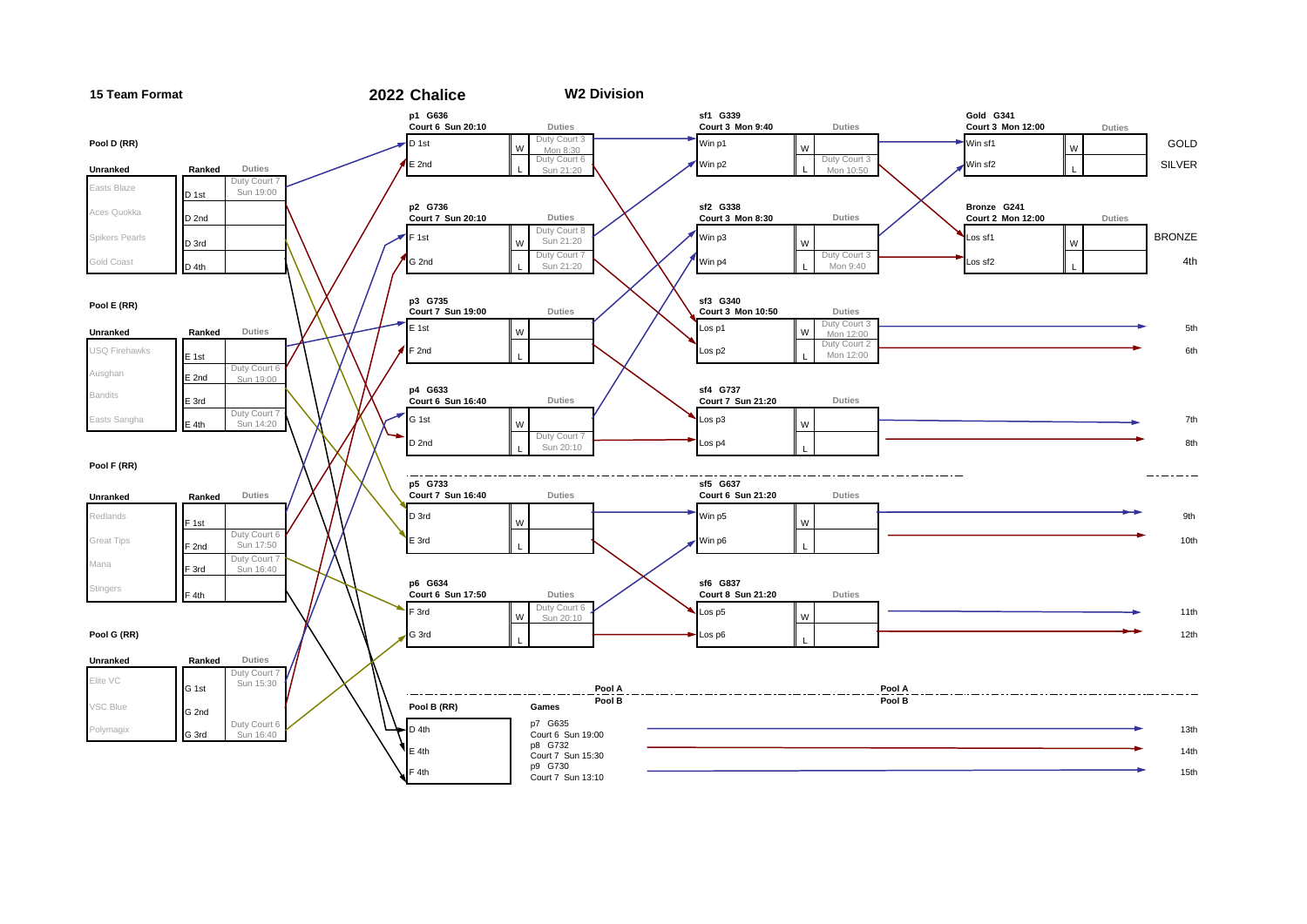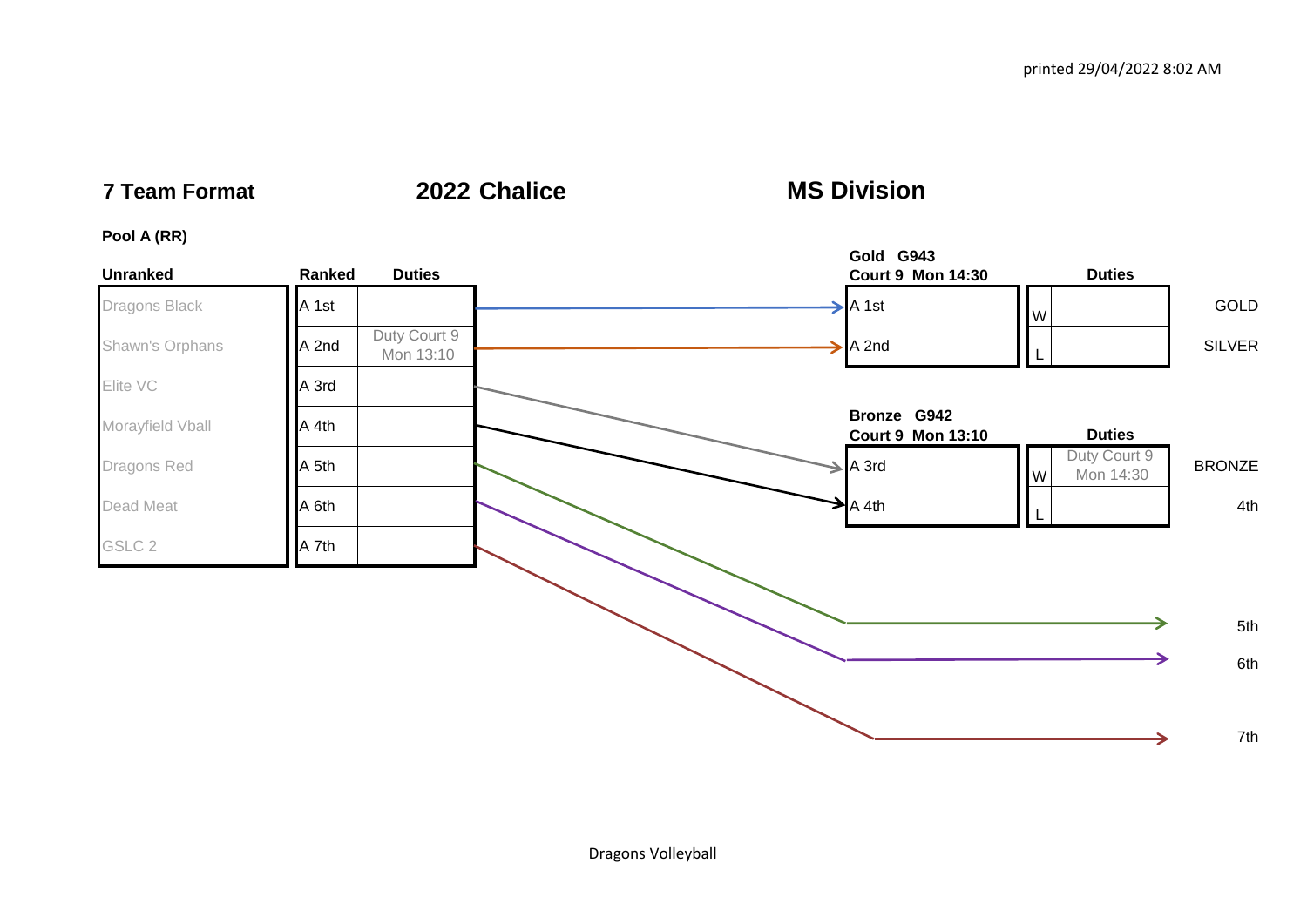**7 Team Format 2022 Chalice**

**MS Division**

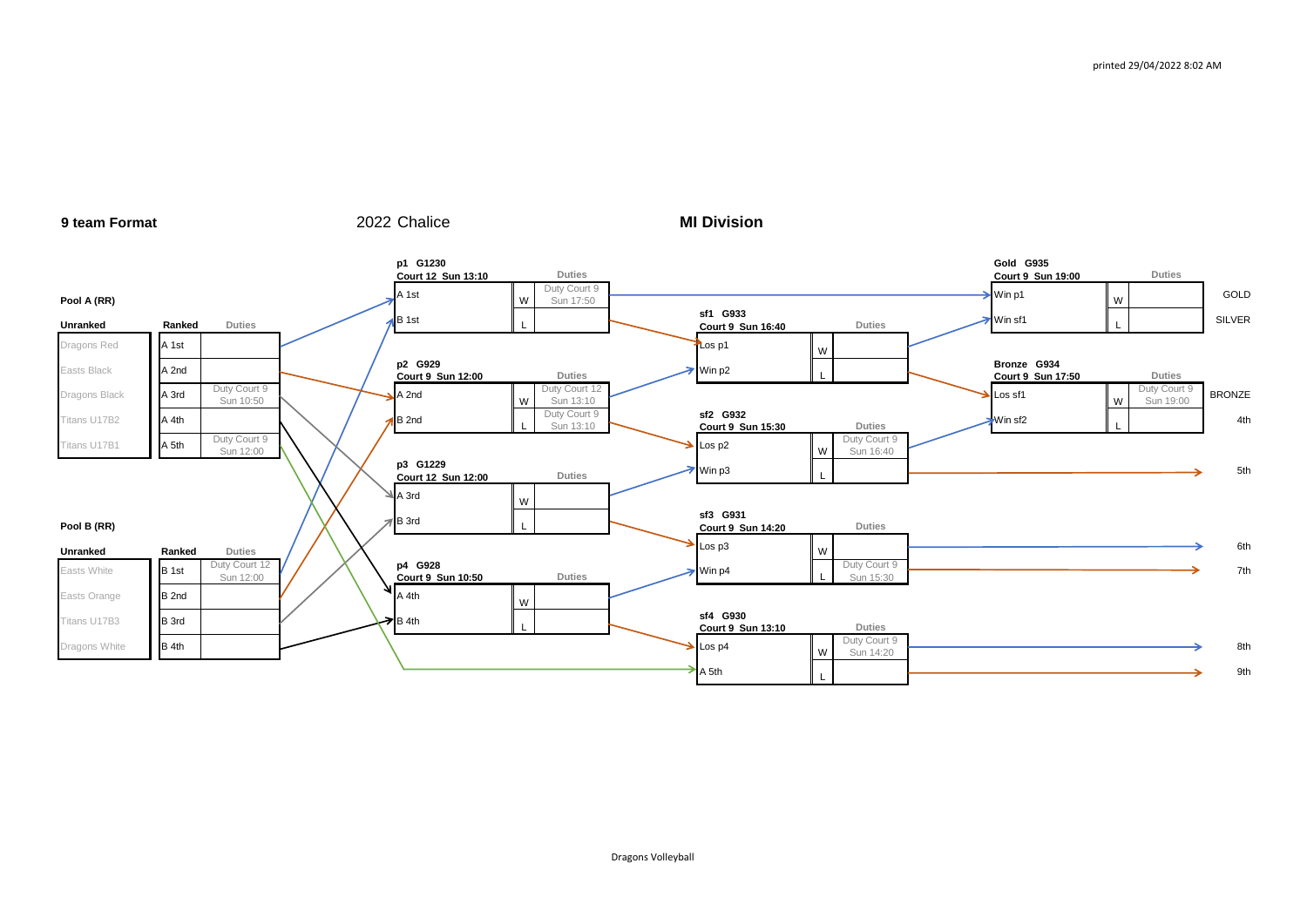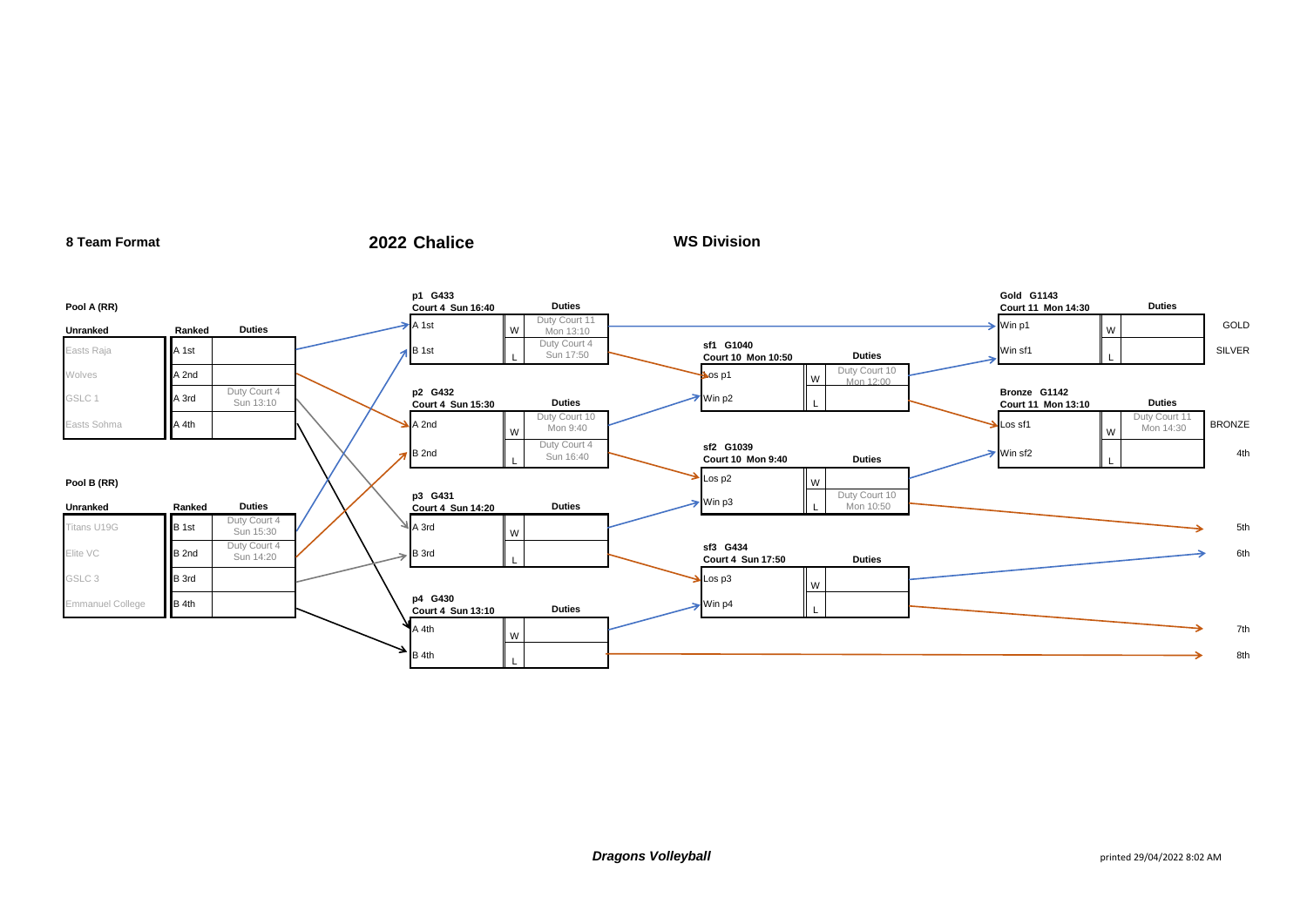### **Pool A (RR) p1 G433 Court 4 Sun 16:40 Duties Gold G1143 Court 11 Mon 14:30 Duties** Unranked **Ranked Duties** A 1st W Duty Court 11<br>Mon 13:10 Mon 13:10 Win p1 <sup>W</sup> GOLD Easts Raja  $\begin{array}{c|c} \text{A 1st} & \text{A 1st} \end{array}$ Duty Court 4 Sun 17:50 **sf1 G1040 Court 10 Mon 10:50 Duties** Win sf1 <sup>L</sup> SILVER Wolves **A 2nd Los p1 Wolvey March 2016** World March 2017 March 2017 World Williams and March 2017 March 2017 World Williams and March 2017 March 2017 March 2017 March 2017 March 2017 March 2017 March 2017 March 2017 March Duty Court 10 Mon 12:00 GSLC 1 A 3rd Duty Court 4 Sun 13:10 **p2 G432 Court 4 Sun 15:30 Duties** Duties Min p2 **Bronze G1142 Court 11 Mon 13:10 Duties** Easts Sohma  $A$  4th  $\overrightarrow{A}$   $A$  2nd W Duty Court 10<br>Mon 9:40 Mon 9:40 W Duty Court 11  $M_{\text{OM}}$   $\sim$   $14:30$  BRONZE B 2nd L Duty Court 4 Sun 16:40 **sf2 G1039 Court 10 Mon 9:40 Duties** Duties Win sf2 L 4th **Pool B (RR)**  $\begin{matrix} \lambda & \lambda' \end{matrix}$ **Unranked Ranked Duties p3 G431 court 4 Sun 14:20 Duties** Duties Win p3 Duty Court 10 Mon 10:50 Titans U19G **B 1st** Duty Court 4  $S$ un 15:30  $\bigvee$   $\bigvee$  A 3rd W 5th Elite VC **B 2nd** Duty Court 4  $S$ un 14:20  $\rightarrow$  B 3rd L **sf3 G434 Court 4 Sun 17:50 Duties Duties Court 4 Sun 17:50 6th** GSLC 3 B 3rd Los p3 <sup>W</sup> Emmanuel College **B 4th <b>p4 G430 Court 4 Sun 13:10 Duties** Duties Win p4  $A$  4th W 7th B 4th <sup>L</sup> 8th

**WS Division**

**8 Team Format 2022 Chalice**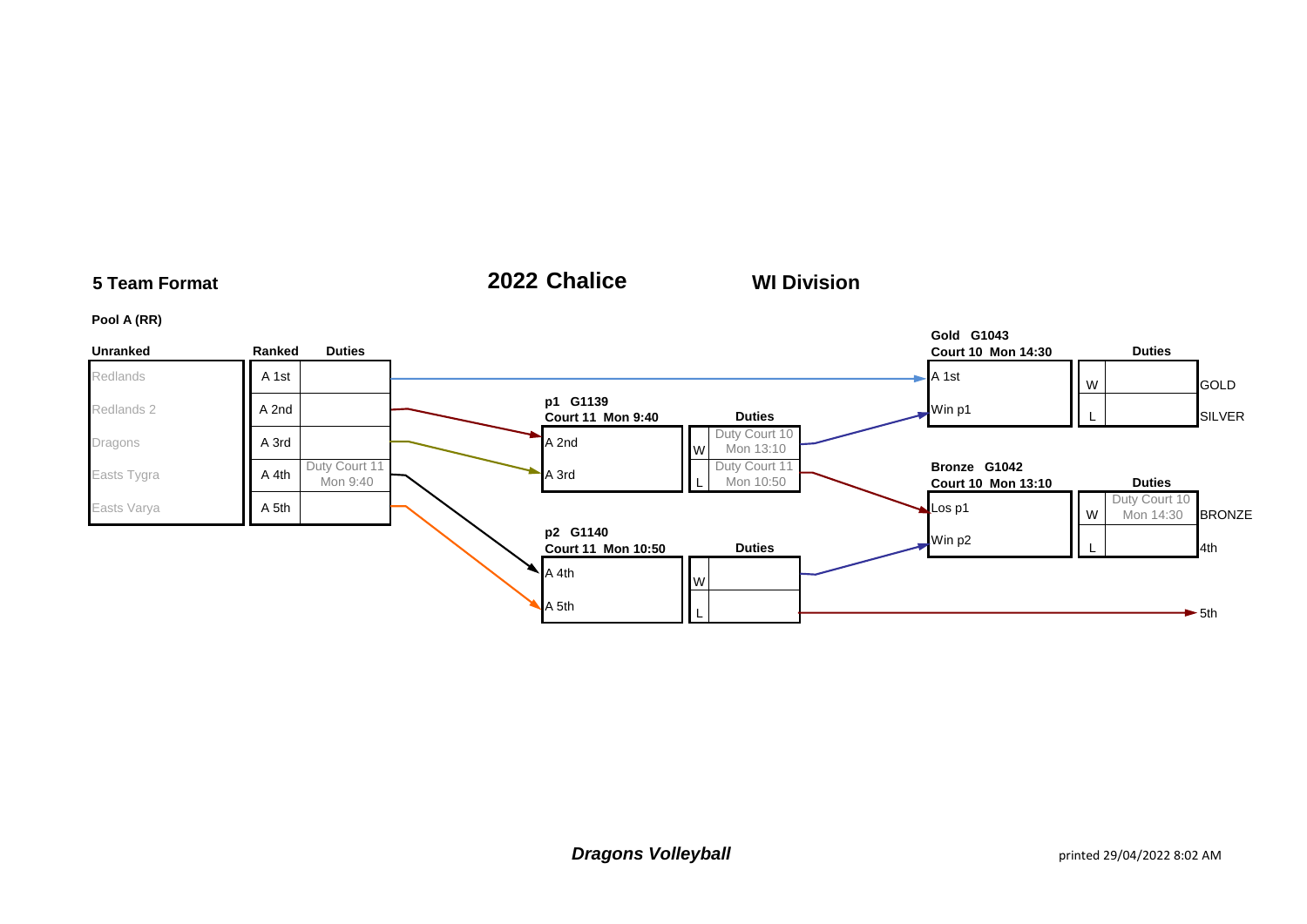### **5 Team Format 2022 Chalice Pool A (RR) Unranked Ranked Duties Gold G1043 Court 10 Mon 14:30 Duties** Redlands **A 1st A 1st B COLD** Redlands 2 **a p1 G1139**<br>**a p1 G1139 Court 11 Mon 9:40 Duties** Duties **Duties** Win p1 L SILVER Dragons **A 3rd A** 3rd **M A** 3rd **M A** 2nd **M A** 2nd Duty Court 10 Mon 13:10 Easts Tygra **A 4th** Duty Court 11  $Mon 9:40$  A 3rd Duty Court 11 Mon 10:50 **Bronze G1042 Court 10 Mon 13:10 Duties** Easts Varya **A 5th A 5th Los p1** W Duty Court 10 Mon 14:30 **BRONZE p2 G1140 Court 11 Mon 10:50 Duties** Duties **Duties** Win p2 **L** L  $A$  4th  $W$ A 5th <sup>L</sup> 5th **WI Division**